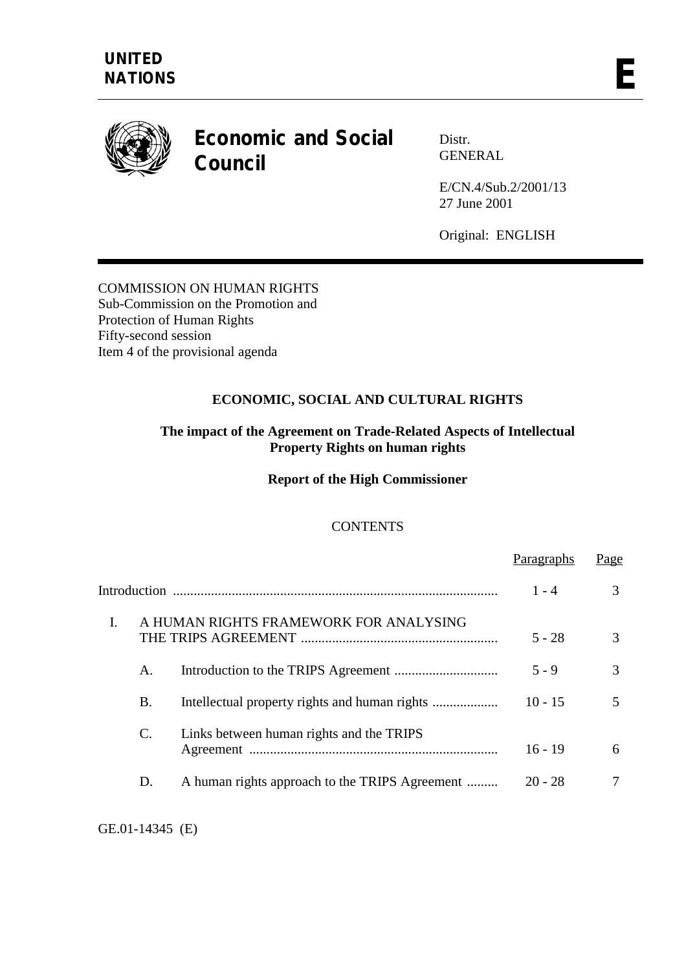

# **Economic and Social Council**

Distr. GENERAL

E/CN.4/Sub.2/2001/13 27 June 2001

Original: ENGLISH

COMMISSION ON HUMAN RIGHTS Sub-Commission on the Promotion and Protection of Human Rights Fifty-second session Item 4 of the provisional agenda

# **ECONOMIC, SOCIAL AND CULTURAL RIGHTS**

## **The impact of the Agreement on Trade-Related Aspects of Intellectual Property Rights on human rights**

**Report of the High Commissioner** 

# **CONTENTS**

|                                                        | $1 - 4$   | 3 |
|--------------------------------------------------------|-----------|---|
| A HUMAN RIGHTS FRAMEWORK FOR ANALYSING<br>$\mathbf{I}$ | $5 - 28$  | 3 |
| A.                                                     | $5 - 9$   | 3 |
| Β.                                                     | $10 - 15$ | 5 |
| Links between human rights and the TRIPS<br>C.         | $16 - 19$ | 6 |
| A human rights approach to the TRIPS Agreement<br>D.   | $20 - 28$ | 7 |

GE.01-14345 (E)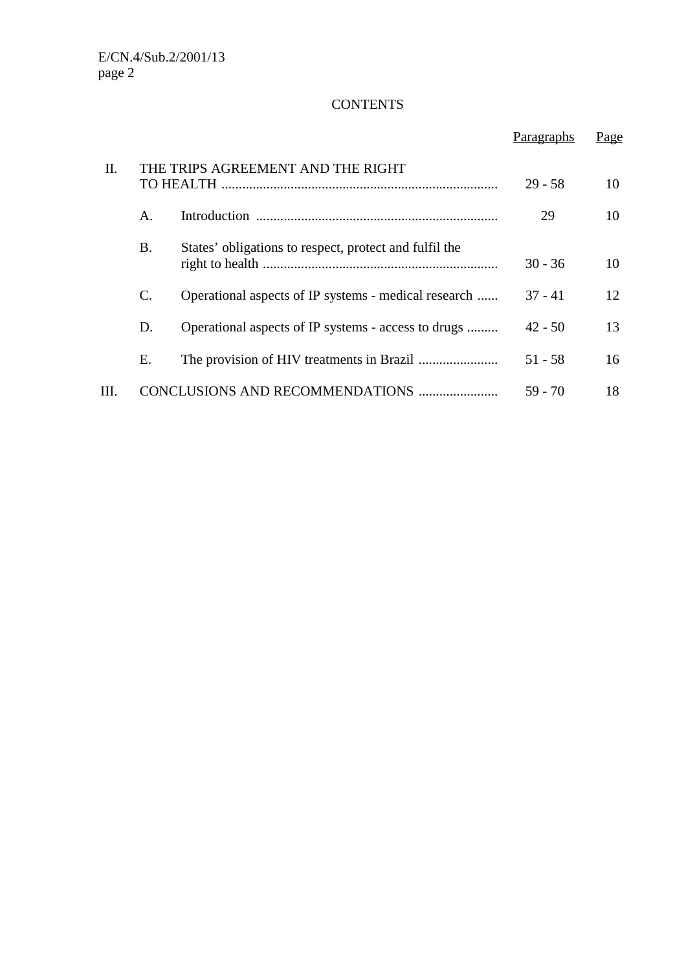# **CONTENTS**

|      |                 |                                                        | Paragraphs | Page |
|------|-----------------|--------------------------------------------------------|------------|------|
| II.  |                 | THE TRIPS AGREEMENT AND THE RIGHT                      | $29 - 58$  | 10   |
|      | A.              |                                                        | 29         | 10   |
|      | <b>B.</b>       | States' obligations to respect, protect and fulfil the | $30 - 36$  | 10   |
|      | $\mathcal{C}$ . | Operational aspects of IP systems - medical research   | $37 - 41$  | 12   |
|      | D.              | Operational aspects of IP systems - access to drugs    | $42 - 50$  | 13   |
|      | Ε.              |                                                        | $51 - 58$  | 16   |
| III. |                 | CONCLUSIONS AND RECOMMENDATIONS                        | 59 - 70    | 18   |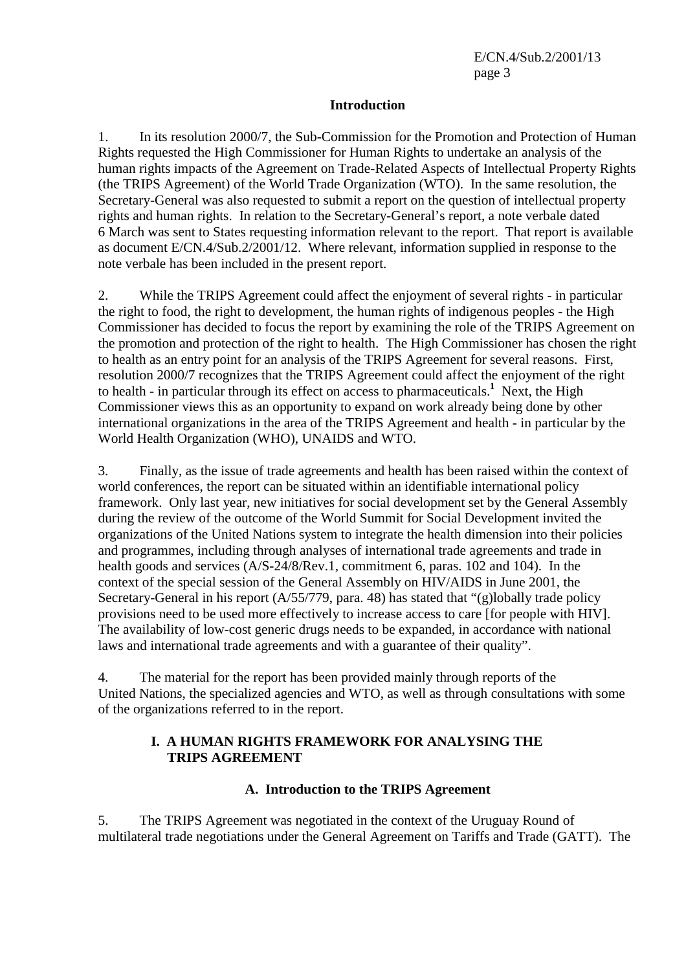#### **Introduction**

1. In its resolution 2000/7, the Sub-Commission for the Promotion and Protection of Human Rights requested the High Commissioner for Human Rights to undertake an analysis of the human rights impacts of the Agreement on Trade-Related Aspects of Intellectual Property Rights (the TRIPS Agreement) of the World Trade Organization (WTO). In the same resolution, the Secretary-General was also requested to submit a report on the question of intellectual property rights and human rights. In relation to the Secretary-General's report, a note verbale dated 6 March was sent to States requesting information relevant to the report. That report is available as document E/CN.4/Sub.2/2001/12. Where relevant, information supplied in response to the note verbale has been included in the present report.

2. While the TRIPS Agreement could affect the enjoyment of several rights - in particular the right to food, the right to development, the human rights of indigenous peoples - the High Commissioner has decided to focus the report by examining the role of the TRIPS Agreement on the promotion and protection of the right to health. The High Commissioner has chosen the right to health as an entry point for an analysis of the TRIPS Agreement for several reasons. First, resolution 2000/7 recognizes that the TRIPS Agreement could affect the enjoyment of the right to health - in particular through its effect on access to pharmaceuticals.**<sup>1</sup>** Next, the High Commissioner views this as an opportunity to expand on work already being done by other international organizations in the area of the TRIPS Agreement and health - in particular by the World Health Organization (WHO), UNAIDS and WTO.

3. Finally, as the issue of trade agreements and health has been raised within the context of world conferences, the report can be situated within an identifiable international policy framework. Only last year, new initiatives for social development set by the General Assembly during the review of the outcome of the World Summit for Social Development invited the organizations of the United Nations system to integrate the health dimension into their policies and programmes, including through analyses of international trade agreements and trade in health goods and services (A/S-24/8/Rev.1, commitment 6, paras. 102 and 104). In the context of the special session of the General Assembly on HIV/AIDS in June 2001, the Secretary-General in his report (A/55/779, para. 48) has stated that "(g)lobally trade policy provisions need to be used more effectively to increase access to care [for people with HIV]. The availability of low-cost generic drugs needs to be expanded, in accordance with national laws and international trade agreements and with a guarantee of their quality".

4. The material for the report has been provided mainly through reports of the United Nations, the specialized agencies and WTO, as well as through consultations with some of the organizations referred to in the report.

#### **I. A HUMAN RIGHTS FRAMEWORK FOR ANALYSING THE TRIPS AGREEMENT**

#### **A. Introduction to the TRIPS Agreement**

5. The TRIPS Agreement was negotiated in the context of the Uruguay Round of multilateral trade negotiations under the General Agreement on Tariffs and Trade (GATT). The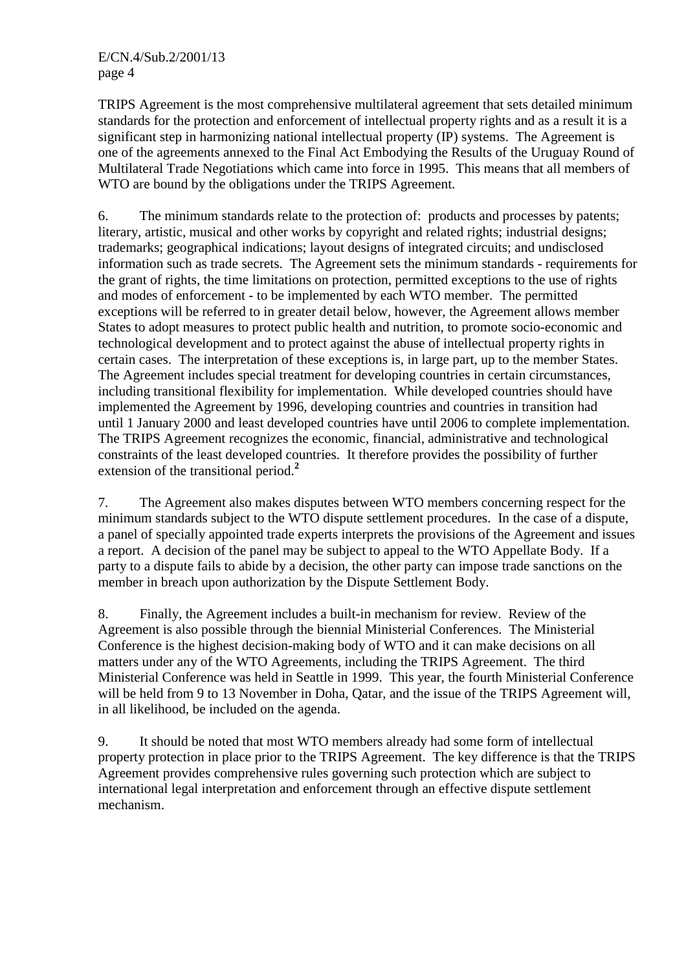TRIPS Agreement is the most comprehensive multilateral agreement that sets detailed minimum standards for the protection and enforcement of intellectual property rights and as a result it is a significant step in harmonizing national intellectual property (IP) systems. The Agreement is one of the agreements annexed to the Final Act Embodying the Results of the Uruguay Round of Multilateral Trade Negotiations which came into force in 1995. This means that all members of WTO are bound by the obligations under the TRIPS Agreement.

6. The minimum standards relate to the protection of: products and processes by patents; literary, artistic, musical and other works by copyright and related rights; industrial designs; trademarks; geographical indications; layout designs of integrated circuits; and undisclosed information such as trade secrets. The Agreement sets the minimum standards - requirements for the grant of rights, the time limitations on protection, permitted exceptions to the use of rights and modes of enforcement - to be implemented by each WTO member. The permitted exceptions will be referred to in greater detail below, however, the Agreement allows member States to adopt measures to protect public health and nutrition, to promote socio-economic and technological development and to protect against the abuse of intellectual property rights in certain cases. The interpretation of these exceptions is, in large part, up to the member States. The Agreement includes special treatment for developing countries in certain circumstances, including transitional flexibility for implementation. While developed countries should have implemented the Agreement by 1996, developing countries and countries in transition had until 1 January 2000 and least developed countries have until 2006 to complete implementation. The TRIPS Agreement recognizes the economic, financial, administrative and technological constraints of the least developed countries. It therefore provides the possibility of further extension of the transitional period.**<sup>2</sup>**

7. The Agreement also makes disputes between WTO members concerning respect for the minimum standards subject to the WTO dispute settlement procedures. In the case of a dispute, a panel of specially appointed trade experts interprets the provisions of the Agreement and issues a report. A decision of the panel may be subject to appeal to the WTO Appellate Body. If a party to a dispute fails to abide by a decision, the other party can impose trade sanctions on the member in breach upon authorization by the Dispute Settlement Body.

8. Finally, the Agreement includes a built-in mechanism for review. Review of the Agreement is also possible through the biennial Ministerial Conferences. The Ministerial Conference is the highest decision-making body of WTO and it can make decisions on all matters under any of the WTO Agreements, including the TRIPS Agreement. The third Ministerial Conference was held in Seattle in 1999. This year, the fourth Ministerial Conference will be held from 9 to 13 November in Doha, Qatar, and the issue of the TRIPS Agreement will, in all likelihood, be included on the agenda.

9. It should be noted that most WTO members already had some form of intellectual property protection in place prior to the TRIPS Agreement. The key difference is that the TRIPS Agreement provides comprehensive rules governing such protection which are subject to international legal interpretation and enforcement through an effective dispute settlement mechanism.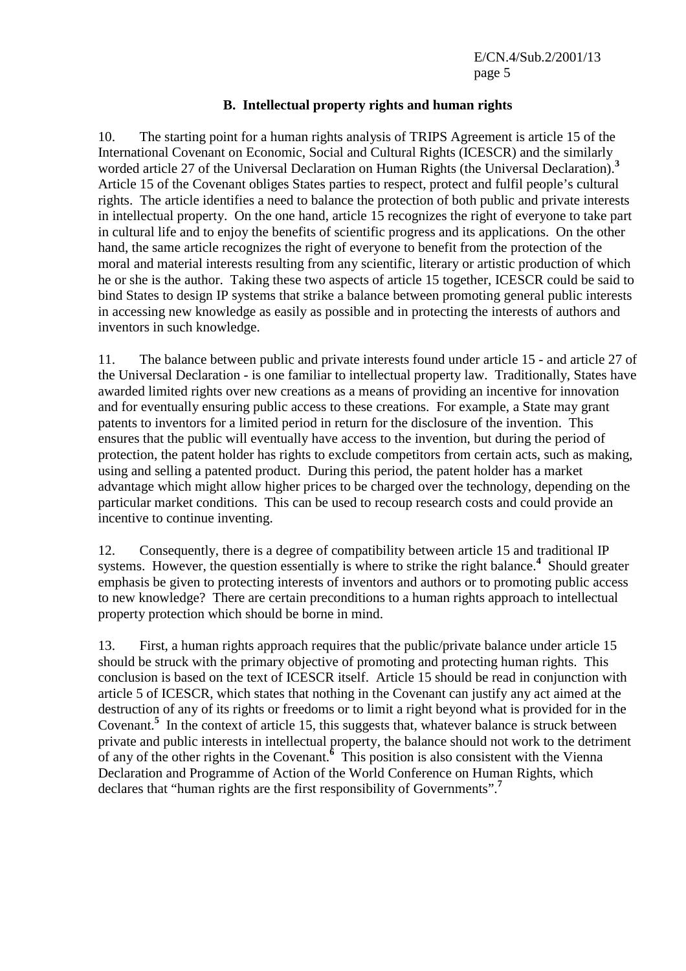### **B. Intellectual property rights and human rights**

10. The starting point for a human rights analysis of TRIPS Agreement is article 15 of the International Covenant on Economic, Social and Cultural Rights (ICESCR) and the similarly worded article 27 of the Universal Declaration on Human Rights (the Universal Declaration).**<sup>3</sup>** Article 15 of the Covenant obliges States parties to respect, protect and fulfil people's cultural rights. The article identifies a need to balance the protection of both public and private interests in intellectual property. On the one hand, article 15 recognizes the right of everyone to take part in cultural life and to enjoy the benefits of scientific progress and its applications. On the other hand, the same article recognizes the right of everyone to benefit from the protection of the moral and material interests resulting from any scientific, literary or artistic production of which he or she is the author. Taking these two aspects of article 15 together, ICESCR could be said to bind States to design IP systems that strike a balance between promoting general public interests in accessing new knowledge as easily as possible and in protecting the interests of authors and inventors in such knowledge.

11. The balance between public and private interests found under article 15 - and article 27 of the Universal Declaration - is one familiar to intellectual property law. Traditionally, States have awarded limited rights over new creations as a means of providing an incentive for innovation and for eventually ensuring public access to these creations. For example, a State may grant patents to inventors for a limited period in return for the disclosure of the invention. This ensures that the public will eventually have access to the invention, but during the period of protection, the patent holder has rights to exclude competitors from certain acts, such as making, using and selling a patented product. During this period, the patent holder has a market advantage which might allow higher prices to be charged over the technology, depending on the particular market conditions. This can be used to recoup research costs and could provide an incentive to continue inventing.

12. Consequently, there is a degree of compatibility between article 15 and traditional IP systems. However, the question essentially is where to strike the right balance.<sup>4</sup> Should greater emphasis be given to protecting interests of inventors and authors or to promoting public access to new knowledge? There are certain preconditions to a human rights approach to intellectual property protection which should be borne in mind.

13. First, a human rights approach requires that the public/private balance under article 15 should be struck with the primary objective of promoting and protecting human rights. This conclusion is based on the text of ICESCR itself. Article 15 should be read in conjunction with article 5 of ICESCR, which states that nothing in the Covenant can justify any act aimed at the destruction of any of its rights or freedoms or to limit a right beyond what is provided for in the Covenant.<sup>5</sup> In the context of article 15, this suggests that, whatever balance is struck between private and public interests in intellectual property, the balance should not work to the detriment of any of the other rights in the Covenant.**<sup>6</sup>** This position is also consistent with the Vienna Declaration and Programme of Action of the World Conference on Human Rights, which declares that "human rights are the first responsibility of Governments".**<sup>7</sup>**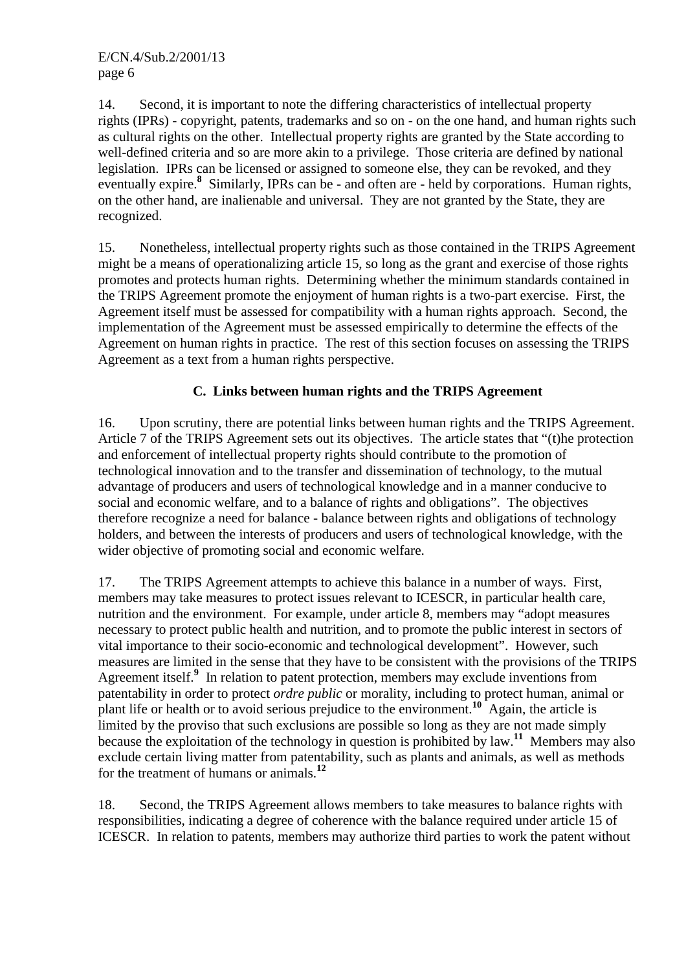14. Second, it is important to note the differing characteristics of intellectual property rights (IPRs) - copyright, patents, trademarks and so on - on the one hand, and human rights such as cultural rights on the other. Intellectual property rights are granted by the State according to well-defined criteria and so are more akin to a privilege. Those criteria are defined by national legislation. IPRs can be licensed or assigned to someone else, they can be revoked, and they eventually expire.<sup>8</sup> Similarly, IPRs can be - and often are - held by corporations. Human rights, on the other hand, are inalienable and universal. They are not granted by the State, they are recognized.

15. Nonetheless, intellectual property rights such as those contained in the TRIPS Agreement might be a means of operationalizing article 15, so long as the grant and exercise of those rights promotes and protects human rights. Determining whether the minimum standards contained in the TRIPS Agreement promote the enjoyment of human rights is a two-part exercise. First, the Agreement itself must be assessed for compatibility with a human rights approach. Second, the implementation of the Agreement must be assessed empirically to determine the effects of the Agreement on human rights in practice. The rest of this section focuses on assessing the TRIPS Agreement as a text from a human rights perspective.

# **C. Links between human rights and the TRIPS Agreement**

16. Upon scrutiny, there are potential links between human rights and the TRIPS Agreement. Article 7 of the TRIPS Agreement sets out its objectives. The article states that "(t)he protection and enforcement of intellectual property rights should contribute to the promotion of technological innovation and to the transfer and dissemination of technology, to the mutual advantage of producers and users of technological knowledge and in a manner conducive to social and economic welfare, and to a balance of rights and obligations". The objectives therefore recognize a need for balance - balance between rights and obligations of technology holders, and between the interests of producers and users of technological knowledge, with the wider objective of promoting social and economic welfare.

17. The TRIPS Agreement attempts to achieve this balance in a number of ways. First, members may take measures to protect issues relevant to ICESCR, in particular health care, nutrition and the environment. For example, under article 8, members may "adopt measures necessary to protect public health and nutrition, and to promote the public interest in sectors of vital importance to their socio-economic and technological development". However, such measures are limited in the sense that they have to be consistent with the provisions of the TRIPS Agreement itself.<sup>9</sup> In relation to patent protection, members may exclude inventions from patentability in order to protect *ordre public* or morality, including to protect human, animal or plant life or health or to avoid serious prejudice to the environment.**<sup>10</sup>** Again, the article is limited by the proviso that such exclusions are possible so long as they are not made simply because the exploitation of the technology in question is prohibited by law.**<sup>11</sup>** Members may also exclude certain living matter from patentability, such as plants and animals, as well as methods for the treatment of humans or animals.**<sup>12</sup>**

18. Second, the TRIPS Agreement allows members to take measures to balance rights with responsibilities, indicating a degree of coherence with the balance required under article 15 of ICESCR. In relation to patents, members may authorize third parties to work the patent without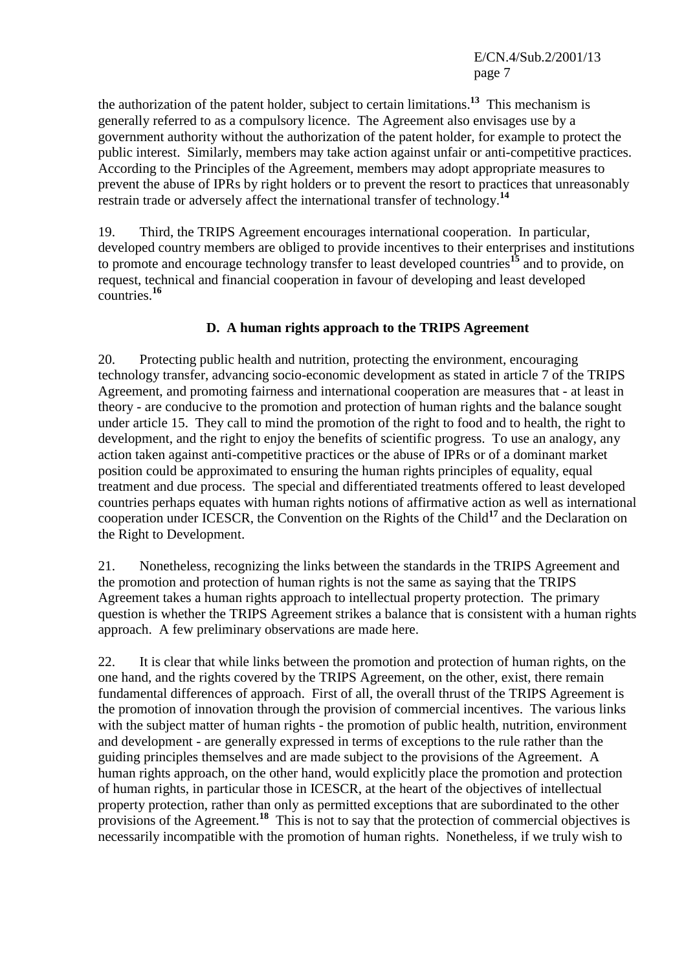the authorization of the patent holder, subject to certain limitations.**<sup>13</sup>** This mechanism is generally referred to as a compulsory licence. The Agreement also envisages use by a government authority without the authorization of the patent holder, for example to protect the public interest. Similarly, members may take action against unfair or anti-competitive practices. According to the Principles of the Agreement, members may adopt appropriate measures to prevent the abuse of IPRs by right holders or to prevent the resort to practices that unreasonably restrain trade or adversely affect the international transfer of technology.**<sup>14</sup>**

19. Third, the TRIPS Agreement encourages international cooperation. In particular, developed country members are obliged to provide incentives to their enterprises and institutions to promote and encourage technology transfer to least developed countries**<sup>15</sup>** and to provide, on request, technical and financial cooperation in favour of developing and least developed countries.**<sup>16</sup>**

# **D. A human rights approach to the TRIPS Agreement**

20. Protecting public health and nutrition, protecting the environment, encouraging technology transfer, advancing socio-economic development as stated in article 7 of the TRIPS Agreement, and promoting fairness and international cooperation are measures that - at least in theory - are conducive to the promotion and protection of human rights and the balance sought under article 15. They call to mind the promotion of the right to food and to health, the right to development, and the right to enjoy the benefits of scientific progress. To use an analogy, any action taken against anti-competitive practices or the abuse of IPRs or of a dominant market position could be approximated to ensuring the human rights principles of equality, equal treatment and due process. The special and differentiated treatments offered to least developed countries perhaps equates with human rights notions of affirmative action as well as international cooperation under ICESCR, the Convention on the Rights of the Child**<sup>17</sup>** and the Declaration on the Right to Development.

21. Nonetheless, recognizing the links between the standards in the TRIPS Agreement and the promotion and protection of human rights is not the same as saying that the TRIPS Agreement takes a human rights approach to intellectual property protection. The primary question is whether the TRIPS Agreement strikes a balance that is consistent with a human rights approach. A few preliminary observations are made here.

22. It is clear that while links between the promotion and protection of human rights, on the one hand, and the rights covered by the TRIPS Agreement, on the other, exist, there remain fundamental differences of approach. First of all, the overall thrust of the TRIPS Agreement is the promotion of innovation through the provision of commercial incentives. The various links with the subject matter of human rights - the promotion of public health, nutrition, environment and development - are generally expressed in terms of exceptions to the rule rather than the guiding principles themselves and are made subject to the provisions of the Agreement. A human rights approach, on the other hand, would explicitly place the promotion and protection of human rights, in particular those in ICESCR, at the heart of the objectives of intellectual property protection, rather than only as permitted exceptions that are subordinated to the other provisions of the Agreement.<sup>18</sup> This is not to say that the protection of commercial objectives is necessarily incompatible with the promotion of human rights. Nonetheless, if we truly wish to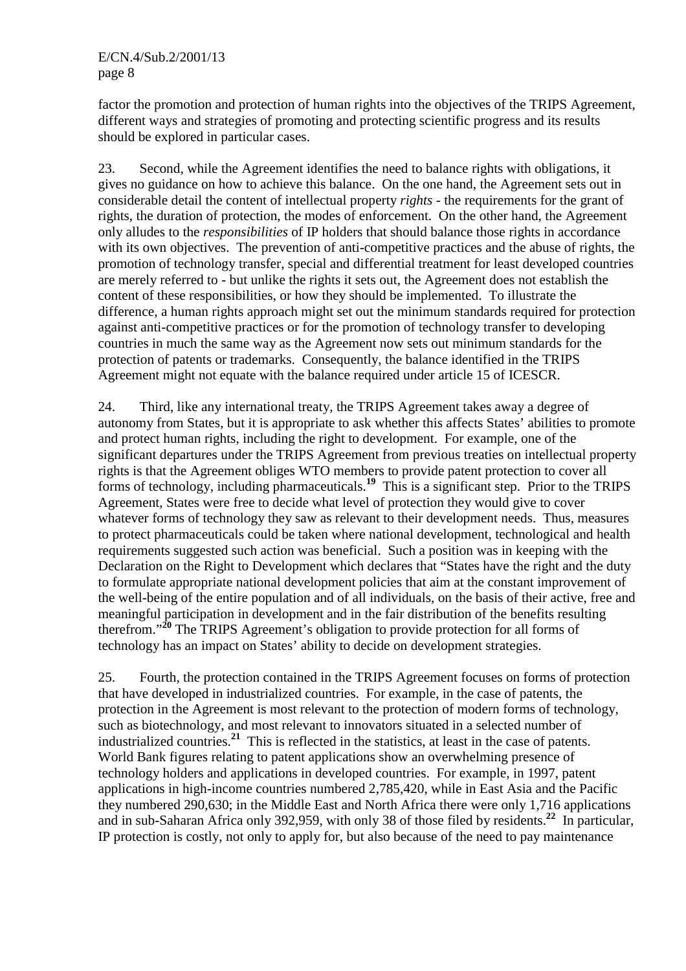factor the promotion and protection of human rights into the objectives of the TRIPS Agreement, different ways and strategies of promoting and protecting scientific progress and its results should be explored in particular cases.

23. Second, while the Agreement identifies the need to balance rights with obligations, it gives no guidance on how to achieve this balance. On the one hand, the Agreement sets out in considerable detail the content of intellectual property *rights* - the requirements for the grant of rights, the duration of protection, the modes of enforcement. On the other hand, the Agreement only alludes to the *responsibilities* of IP holders that should balance those rights in accordance with its own objectives. The prevention of anti-competitive practices and the abuse of rights, the promotion of technology transfer, special and differential treatment for least developed countries are merely referred to - but unlike the rights it sets out, the Agreement does not establish the content of these responsibilities, or how they should be implemented. To illustrate the difference, a human rights approach might set out the minimum standards required for protection against anti-competitive practices or for the promotion of technology transfer to developing countries in much the same way as the Agreement now sets out minimum standards for the protection of patents or trademarks. Consequently, the balance identified in the TRIPS Agreement might not equate with the balance required under article 15 of ICESCR.

24. Third, like any international treaty, the TRIPS Agreement takes away a degree of autonomy from States, but it is appropriate to ask whether this affects States' abilities to promote and protect human rights, including the right to development. For example, one of the significant departures under the TRIPS Agreement from previous treaties on intellectual property rights is that the Agreement obliges WTO members to provide patent protection to cover all forms of technology, including pharmaceuticals.<sup>19</sup> This is a significant step. Prior to the TRIPS Agreement, States were free to decide what level of protection they would give to cover whatever forms of technology they saw as relevant to their development needs. Thus, measures to protect pharmaceuticals could be taken where national development, technological and health requirements suggested such action was beneficial. Such a position was in keeping with the Declaration on the Right to Development which declares that "States have the right and the duty to formulate appropriate national development policies that aim at the constant improvement of the well-being of the entire population and of all individuals, on the basis of their active, free and meaningful participation in development and in the fair distribution of the benefits resulting therefrom."**<sup>20</sup>** The TRIPS Agreement's obligation to provide protection for all forms of technology has an impact on States' ability to decide on development strategies.

25. Fourth, the protection contained in the TRIPS Agreement focuses on forms of protection that have developed in industrialized countries. For example, in the case of patents, the protection in the Agreement is most relevant to the protection of modern forms of technology, such as biotechnology, and most relevant to innovators situated in a selected number of industrialized countries.**<sup>21</sup>** This is reflected in the statistics, at least in the case of patents. World Bank figures relating to patent applications show an overwhelming presence of technology holders and applications in developed countries. For example, in 1997, patent applications in high-income countries numbered 2,785,420, while in East Asia and the Pacific they numbered 290,630; in the Middle East and North Africa there were only 1,716 applications and in sub-Saharan Africa only 392,959, with only 38 of those filed by residents.**<sup>22</sup>** In particular, IP protection is costly, not only to apply for, but also because of the need to pay maintenance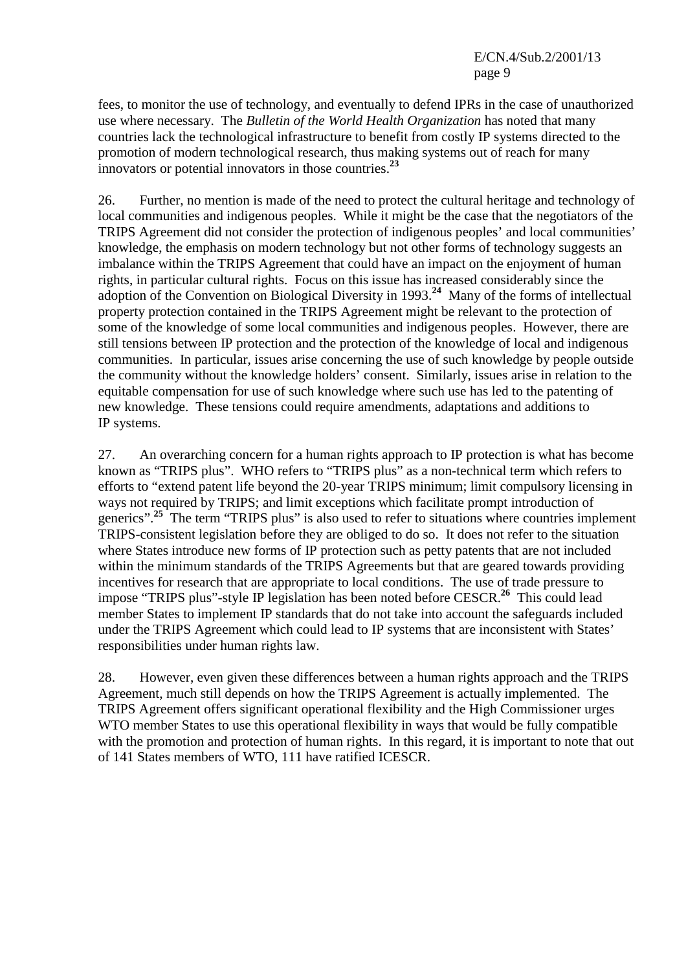E/CN.4/Sub.2/2001/13 page 9

fees, to monitor the use of technology, and eventually to defend IPRs in the case of unauthorized use where necessary. The *Bulletin of the World Health Organization* has noted that many countries lack the technological infrastructure to benefit from costly IP systems directed to the promotion of modern technological research, thus making systems out of reach for many innovators or potential innovators in those countries.**<sup>23</sup>**

26. Further, no mention is made of the need to protect the cultural heritage and technology of local communities and indigenous peoples. While it might be the case that the negotiators of the TRIPS Agreement did not consider the protection of indigenous peoples' and local communities' knowledge, the emphasis on modern technology but not other forms of technology suggests an imbalance within the TRIPS Agreement that could have an impact on the enjoyment of human rights, in particular cultural rights. Focus on this issue has increased considerably since the adoption of the Convention on Biological Diversity in 1993.**<sup>24</sup>** Many of the forms of intellectual property protection contained in the TRIPS Agreement might be relevant to the protection of some of the knowledge of some local communities and indigenous peoples. However, there are still tensions between IP protection and the protection of the knowledge of local and indigenous communities. In particular, issues arise concerning the use of such knowledge by people outside the community without the knowledge holders' consent. Similarly, issues arise in relation to the equitable compensation for use of such knowledge where such use has led to the patenting of new knowledge. These tensions could require amendments, adaptations and additions to IP systems.

27. An overarching concern for a human rights approach to IP protection is what has become known as "TRIPS plus". WHO refers to "TRIPS plus" as a non-technical term which refers to efforts to "extend patent life beyond the 20-year TRIPS minimum; limit compulsory licensing in ways not required by TRIPS; and limit exceptions which facilitate prompt introduction of generics".<sup>25</sup> The term "TRIPS plus" is also used to refer to situations where countries implement TRIPS-consistent legislation before they are obliged to do so. It does not refer to the situation where States introduce new forms of IP protection such as petty patents that are not included within the minimum standards of the TRIPS Agreements but that are geared towards providing incentives for research that are appropriate to local conditions. The use of trade pressure to impose "TRIPS plus"-style IP legislation has been noted before CESCR.**<sup>26</sup>** This could lead member States to implement IP standards that do not take into account the safeguards included under the TRIPS Agreement which could lead to IP systems that are inconsistent with States' responsibilities under human rights law.

28. However, even given these differences between a human rights approach and the TRIPS Agreement, much still depends on how the TRIPS Agreement is actually implemented. The TRIPS Agreement offers significant operational flexibility and the High Commissioner urges WTO member States to use this operational flexibility in ways that would be fully compatible with the promotion and protection of human rights. In this regard, it is important to note that out of 141 States members of WTO, 111 have ratified ICESCR.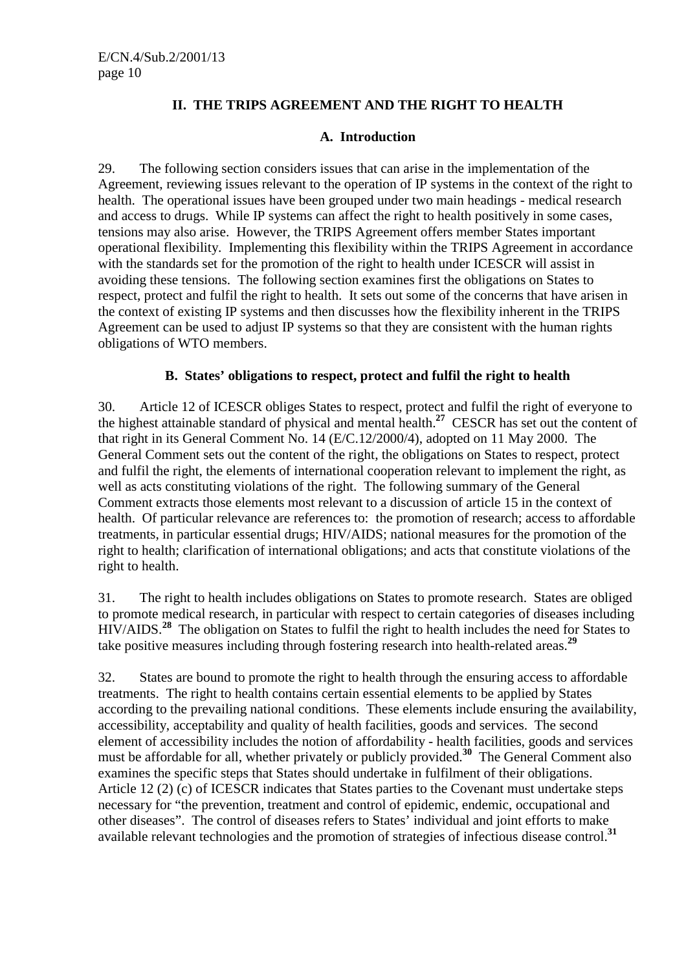# **II. THE TRIPS AGREEMENT AND THE RIGHT TO HEALTH**

#### **A. Introduction**

29. The following section considers issues that can arise in the implementation of the Agreement, reviewing issues relevant to the operation of IP systems in the context of the right to health. The operational issues have been grouped under two main headings - medical research and access to drugs. While IP systems can affect the right to health positively in some cases, tensions may also arise. However, the TRIPS Agreement offers member States important operational flexibility. Implementing this flexibility within the TRIPS Agreement in accordance with the standards set for the promotion of the right to health under ICESCR will assist in avoiding these tensions. The following section examines first the obligations on States to respect, protect and fulfil the right to health. It sets out some of the concerns that have arisen in the context of existing IP systems and then discusses how the flexibility inherent in the TRIPS Agreement can be used to adjust IP systems so that they are consistent with the human rights obligations of WTO members.

#### **B. States' obligations to respect, protect and fulfil the right to health**

30. Article 12 of ICESCR obliges States to respect, protect and fulfil the right of everyone to the highest attainable standard of physical and mental health.**<sup>27</sup>** CESCR has set out the content of that right in its General Comment No. 14 (E/C.12/2000/4), adopted on 11 May 2000. The General Comment sets out the content of the right, the obligations on States to respect, protect and fulfil the right, the elements of international cooperation relevant to implement the right, as well as acts constituting violations of the right. The following summary of the General Comment extracts those elements most relevant to a discussion of article 15 in the context of health. Of particular relevance are references to: the promotion of research; access to affordable treatments, in particular essential drugs; HIV/AIDS; national measures for the promotion of the right to health; clarification of international obligations; and acts that constitute violations of the right to health.

31. The right to health includes obligations on States to promote research. States are obliged to promote medical research, in particular with respect to certain categories of diseases including HIV/AIDS.**<sup>28</sup>** The obligation on States to fulfil the right to health includes the need for States to take positive measures including through fostering research into health-related areas.**<sup>29</sup>**

32. States are bound to promote the right to health through the ensuring access to affordable treatments. The right to health contains certain essential elements to be applied by States according to the prevailing national conditions. These elements include ensuring the availability, accessibility, acceptability and quality of health facilities, goods and services. The second element of accessibility includes the notion of affordability - health facilities, goods and services must be affordable for all, whether privately or publicly provided.**<sup>30</sup>** The General Comment also examines the specific steps that States should undertake in fulfilment of their obligations. Article 12 (2) (c) of ICESCR indicates that States parties to the Covenant must undertake steps necessary for "the prevention, treatment and control of epidemic, endemic, occupational and other diseases". The control of diseases refers to States' individual and joint efforts to make available relevant technologies and the promotion of strategies of infectious disease control.**<sup>31</sup>**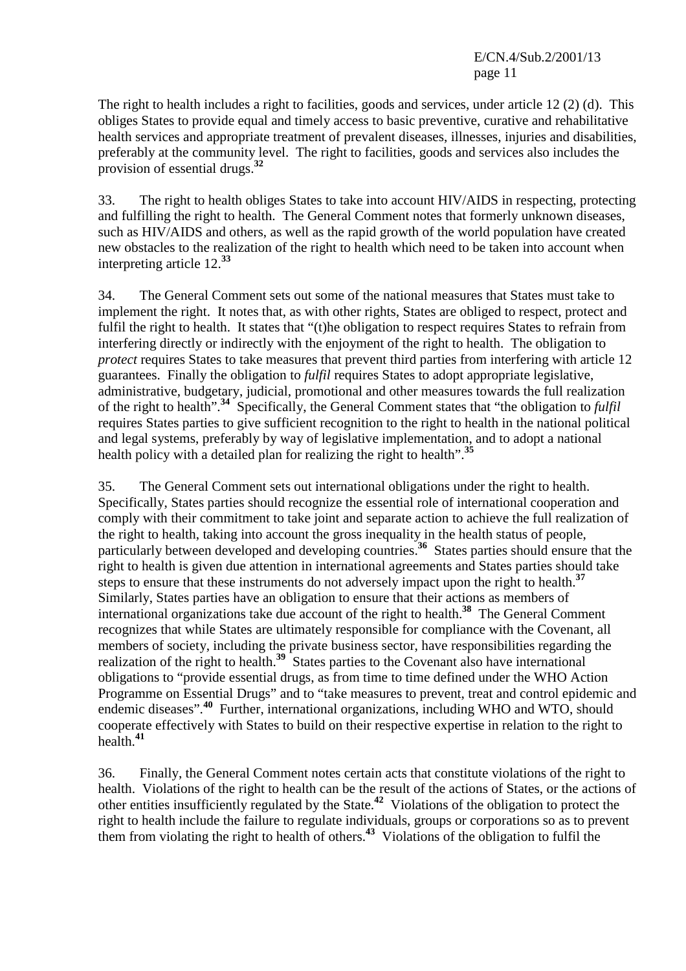E/CN.4/Sub.2/2001/13 page 11

The right to health includes a right to facilities, goods and services, under article 12 (2) (d). This obliges States to provide equal and timely access to basic preventive, curative and rehabilitative health services and appropriate treatment of prevalent diseases, illnesses, injuries and disabilities, preferably at the community level. The right to facilities, goods and services also includes the provision of essential drugs.**<sup>32</sup>**

33. The right to health obliges States to take into account HIV/AIDS in respecting, protecting and fulfilling the right to health. The General Comment notes that formerly unknown diseases, such as HIV/AIDS and others, as well as the rapid growth of the world population have created new obstacles to the realization of the right to health which need to be taken into account when interpreting article 12.**<sup>33</sup>**

34. The General Comment sets out some of the national measures that States must take to implement the right. It notes that, as with other rights, States are obliged to respect, protect and fulfil the right to health. It states that "(t)he obligation to respect requires States to refrain from interfering directly or indirectly with the enjoyment of the right to health. The obligation to *protect* requires States to take measures that prevent third parties from interfering with article 12 guarantees. Finally the obligation to *fulfil* requires States to adopt appropriate legislative, administrative, budgetary, judicial, promotional and other measures towards the full realization of the right to health".**<sup>34</sup>** Specifically, the General Comment states that "the obligation to *fulfil* requires States parties to give sufficient recognition to the right to health in the national political and legal systems, preferably by way of legislative implementation, and to adopt a national health policy with a detailed plan for realizing the right to health".**<sup>35</sup>**

35. The General Comment sets out international obligations under the right to health. Specifically, States parties should recognize the essential role of international cooperation and comply with their commitment to take joint and separate action to achieve the full realization of the right to health, taking into account the gross inequality in the health status of people, particularly between developed and developing countries.**<sup>36</sup>** States parties should ensure that the right to health is given due attention in international agreements and States parties should take steps to ensure that these instruments do not adversely impact upon the right to health.**<sup>37</sup>** Similarly, States parties have an obligation to ensure that their actions as members of international organizations take due account of the right to health.**<sup>38</sup>** The General Comment recognizes that while States are ultimately responsible for compliance with the Covenant, all members of society, including the private business sector, have responsibilities regarding the realization of the right to health.<sup>39</sup> States parties to the Covenant also have international obligations to "provide essential drugs, as from time to time defined under the WHO Action Programme on Essential Drugs" and to "take measures to prevent, treat and control epidemic and endemic diseases".**<sup>40</sup>** Further, international organizations, including WHO and WTO, should cooperate effectively with States to build on their respective expertise in relation to the right to  $health$ <sup>41</sup>

36. Finally, the General Comment notes certain acts that constitute violations of the right to health. Violations of the right to health can be the result of the actions of States, or the actions of other entities insufficiently regulated by the State.**<sup>42</sup>** Violations of the obligation to protect the right to health include the failure to regulate individuals, groups or corporations so as to prevent them from violating the right to health of others.<sup>43</sup> Violations of the obligation to fulfil the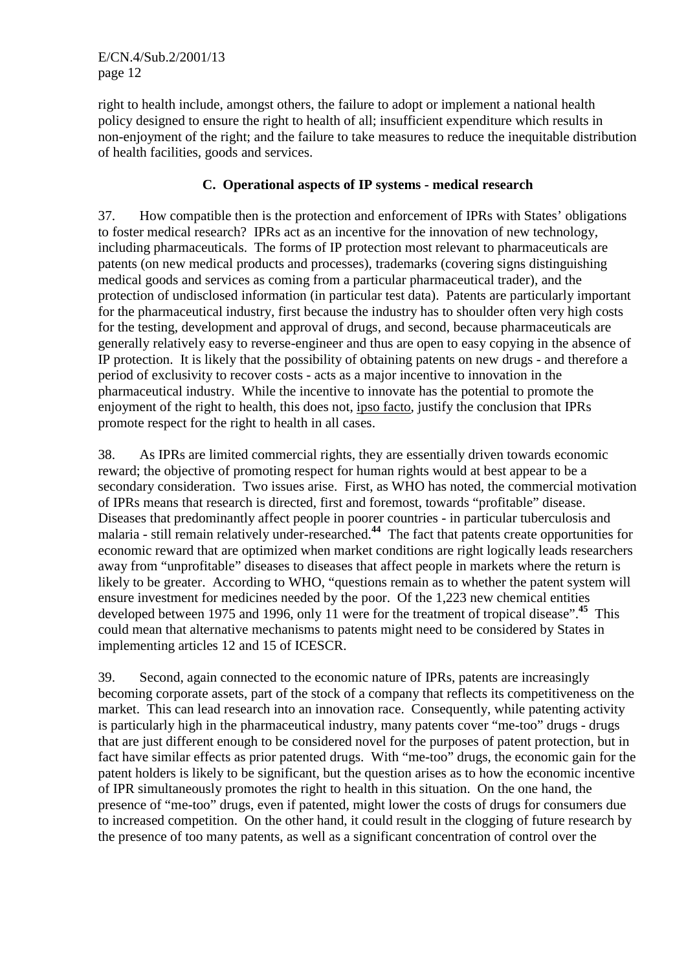right to health include, amongst others, the failure to adopt or implement a national health policy designed to ensure the right to health of all; insufficient expenditure which results in non-enjoyment of the right; and the failure to take measures to reduce the inequitable distribution of health facilities, goods and services.

# **C. Operational aspects of IP systems - medical research**

37. How compatible then is the protection and enforcement of IPRs with States' obligations to foster medical research? IPRs act as an incentive for the innovation of new technology, including pharmaceuticals. The forms of IP protection most relevant to pharmaceuticals are patents (on new medical products and processes), trademarks (covering signs distinguishing medical goods and services as coming from a particular pharmaceutical trader), and the protection of undisclosed information (in particular test data). Patents are particularly important for the pharmaceutical industry, first because the industry has to shoulder often very high costs for the testing, development and approval of drugs, and second, because pharmaceuticals are generally relatively easy to reverse-engineer and thus are open to easy copying in the absence of IP protection. It is likely that the possibility of obtaining patents on new drugs - and therefore a period of exclusivity to recover costs - acts as a major incentive to innovation in the pharmaceutical industry. While the incentive to innovate has the potential to promote the enjoyment of the right to health, this does not, ipso facto, justify the conclusion that IPRs promote respect for the right to health in all cases.

38. As IPRs are limited commercial rights, they are essentially driven towards economic reward; the objective of promoting respect for human rights would at best appear to be a secondary consideration. Two issues arise. First, as WHO has noted, the commercial motivation of IPRs means that research is directed, first and foremost, towards "profitable" disease. Diseases that predominantly affect people in poorer countries - in particular tuberculosis and malaria - still remain relatively under-researched.**<sup>44</sup>** The fact that patents create opportunities for economic reward that are optimized when market conditions are right logically leads researchers away from "unprofitable" diseases to diseases that affect people in markets where the return is likely to be greater. According to WHO, "questions remain as to whether the patent system will ensure investment for medicines needed by the poor. Of the 1,223 new chemical entities developed between 1975 and 1996, only 11 were for the treatment of tropical disease".**<sup>45</sup>** This could mean that alternative mechanisms to patents might need to be considered by States in implementing articles 12 and 15 of ICESCR.

39. Second, again connected to the economic nature of IPRs, patents are increasingly becoming corporate assets, part of the stock of a company that reflects its competitiveness on the market. This can lead research into an innovation race. Consequently, while patenting activity is particularly high in the pharmaceutical industry, many patents cover "me-too" drugs - drugs that are just different enough to be considered novel for the purposes of patent protection, but in fact have similar effects as prior patented drugs. With "me-too" drugs, the economic gain for the patent holders is likely to be significant, but the question arises as to how the economic incentive of IPR simultaneously promotes the right to health in this situation. On the one hand, the presence of "me-too" drugs, even if patented, might lower the costs of drugs for consumers due to increased competition. On the other hand, it could result in the clogging of future research by the presence of too many patents, as well as a significant concentration of control over the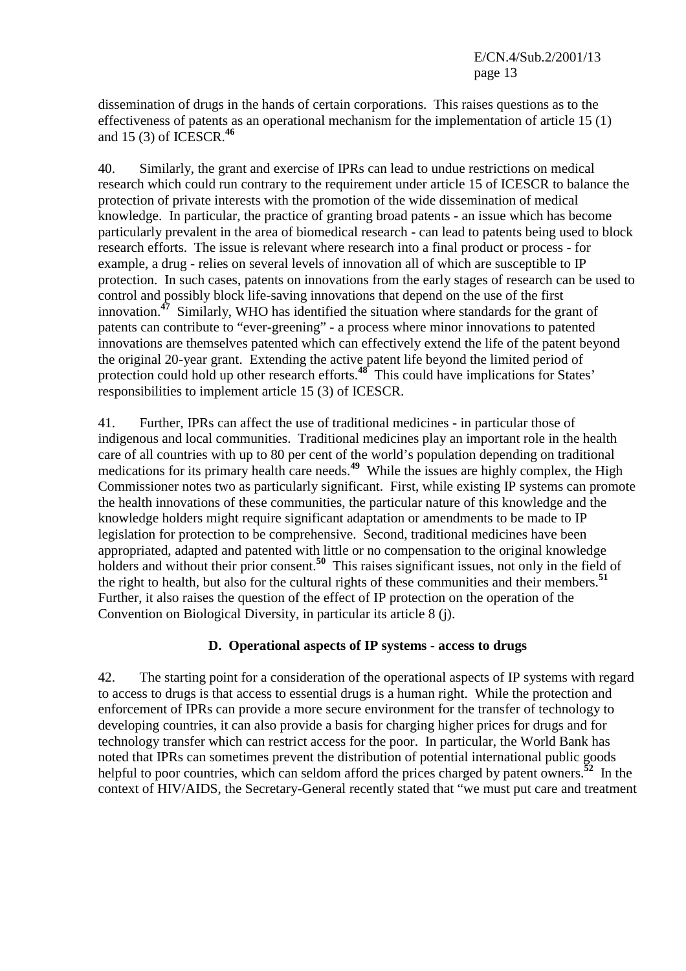dissemination of drugs in the hands of certain corporations. This raises questions as to the effectiveness of patents as an operational mechanism for the implementation of article 15 (1) and 15 (3) of ICESCR.**<sup>46</sup>**

40. Similarly, the grant and exercise of IPRs can lead to undue restrictions on medical research which could run contrary to the requirement under article 15 of ICESCR to balance the protection of private interests with the promotion of the wide dissemination of medical knowledge. In particular, the practice of granting broad patents - an issue which has become particularly prevalent in the area of biomedical research - can lead to patents being used to block research efforts. The issue is relevant where research into a final product or process - for example, a drug - relies on several levels of innovation all of which are susceptible to IP protection. In such cases, patents on innovations from the early stages of research can be used to control and possibly block life-saving innovations that depend on the use of the first innovation.**<sup>47</sup>** Similarly, WHO has identified the situation where standards for the grant of patents can contribute to "ever-greening" - a process where minor innovations to patented innovations are themselves patented which can effectively extend the life of the patent beyond the original 20-year grant. Extending the active patent life beyond the limited period of protection could hold up other research efforts.<sup>48</sup> This could have implications for States' responsibilities to implement article 15 (3) of ICESCR.

41. Further, IPRs can affect the use of traditional medicines - in particular those of indigenous and local communities. Traditional medicines play an important role in the health care of all countries with up to 80 per cent of the world's population depending on traditional medications for its primary health care needs.<sup>49</sup> While the issues are highly complex, the High Commissioner notes two as particularly significant. First, while existing IP systems can promote the health innovations of these communities, the particular nature of this knowledge and the knowledge holders might require significant adaptation or amendments to be made to IP legislation for protection to be comprehensive. Second, traditional medicines have been appropriated, adapted and patented with little or no compensation to the original knowledge holders and without their prior consent.<sup>50</sup> This raises significant issues, not only in the field of the right to health, but also for the cultural rights of these communities and their members.**<sup>51</sup>** Further, it also raises the question of the effect of IP protection on the operation of the Convention on Biological Diversity, in particular its article 8 (j).

#### **D. Operational aspects of IP systems - access to drugs**

42. The starting point for a consideration of the operational aspects of IP systems with regard to access to drugs is that access to essential drugs is a human right. While the protection and enforcement of IPRs can provide a more secure environment for the transfer of technology to developing countries, it can also provide a basis for charging higher prices for drugs and for technology transfer which can restrict access for the poor. In particular, the World Bank has noted that IPRs can sometimes prevent the distribution of potential international public goods helpful to poor countries, which can seldom afford the prices charged by patent owners.<sup>52</sup> In the context of HIV/AIDS, the Secretary-General recently stated that "we must put care and treatment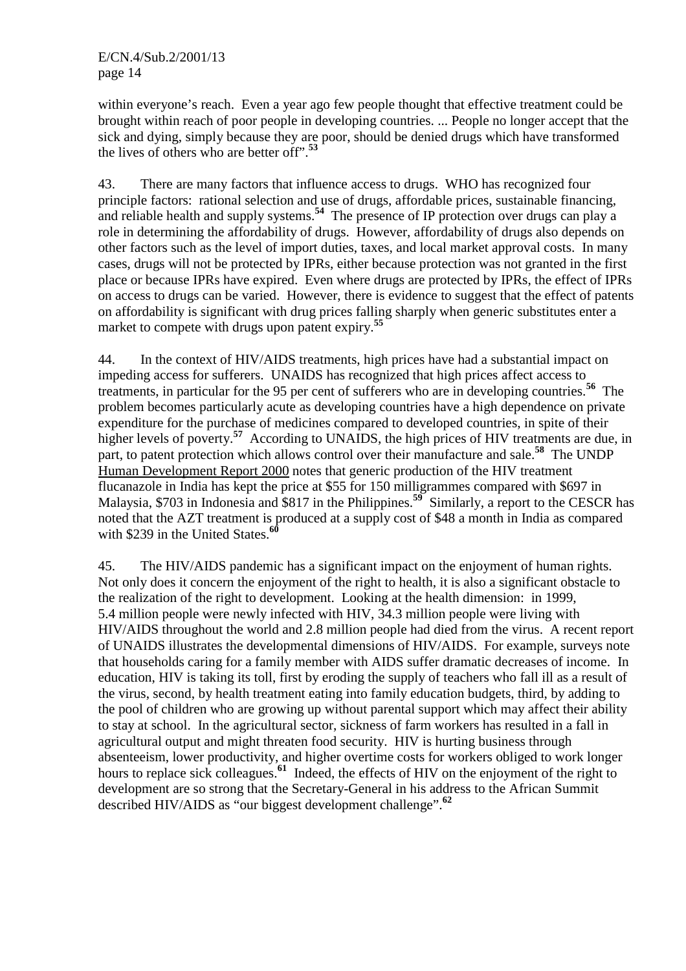within everyone's reach. Even a year ago few people thought that effective treatment could be brought within reach of poor people in developing countries. ... People no longer accept that the sick and dying, simply because they are poor, should be denied drugs which have transformed the lives of others who are better off".**<sup>53</sup>**

43. There are many factors that influence access to drugs. WHO has recognized four principle factors: rational selection and use of drugs, affordable prices, sustainable financing, and reliable health and supply systems.**<sup>54</sup>** The presence of IP protection over drugs can play a role in determining the affordability of drugs. However, affordability of drugs also depends on other factors such as the level of import duties, taxes, and local market approval costs. In many cases, drugs will not be protected by IPRs, either because protection was not granted in the first place or because IPRs have expired. Even where drugs are protected by IPRs, the effect of IPRs on access to drugs can be varied. However, there is evidence to suggest that the effect of patents on affordability is significant with drug prices falling sharply when generic substitutes enter a market to compete with drugs upon patent expiry.**<sup>55</sup>**

44. In the context of HIV/AIDS treatments, high prices have had a substantial impact on impeding access for sufferers. UNAIDS has recognized that high prices affect access to treatments, in particular for the 95 per cent of sufferers who are in developing countries.**<sup>56</sup>** The problem becomes particularly acute as developing countries have a high dependence on private expenditure for the purchase of medicines compared to developed countries, in spite of their higher levels of poverty.<sup>57</sup> According to UNAIDS, the high prices of HIV treatments are due, in part, to patent protection which allows control over their manufacture and sale.<sup>58</sup> The UNDP Human Development Report 2000 notes that generic production of the HIV treatment flucanazole in India has kept the price at \$55 for 150 milligrammes compared with \$697 in Malaysia, \$703 in Indonesia and \$817 in the Philippines.<sup>59</sup> Similarly, a report to the CESCR has noted that the AZT treatment is produced at a supply cost of \$48 a month in India as compared with \$239 in the United States.**<sup>60</sup>**

45. The HIV/AIDS pandemic has a significant impact on the enjoyment of human rights. Not only does it concern the enjoyment of the right to health, it is also a significant obstacle to the realization of the right to development. Looking at the health dimension: in 1999, 5.4 million people were newly infected with HIV, 34.3 million people were living with HIV/AIDS throughout the world and 2.8 million people had died from the virus. A recent report of UNAIDS illustrates the developmental dimensions of HIV/AIDS. For example, surveys note that households caring for a family member with AIDS suffer dramatic decreases of income. In education, HIV is taking its toll, first by eroding the supply of teachers who fall ill as a result of the virus, second, by health treatment eating into family education budgets, third, by adding to the pool of children who are growing up without parental support which may affect their ability to stay at school. In the agricultural sector, sickness of farm workers has resulted in a fall in agricultural output and might threaten food security. HIV is hurting business through absenteeism, lower productivity, and higher overtime costs for workers obliged to work longer hours to replace sick colleagues.**<sup>61</sup>** Indeed, the effects of HIV on the enjoyment of the right to development are so strong that the Secretary-General in his address to the African Summit described HIV/AIDS as "our biggest development challenge".**<sup>62</sup>**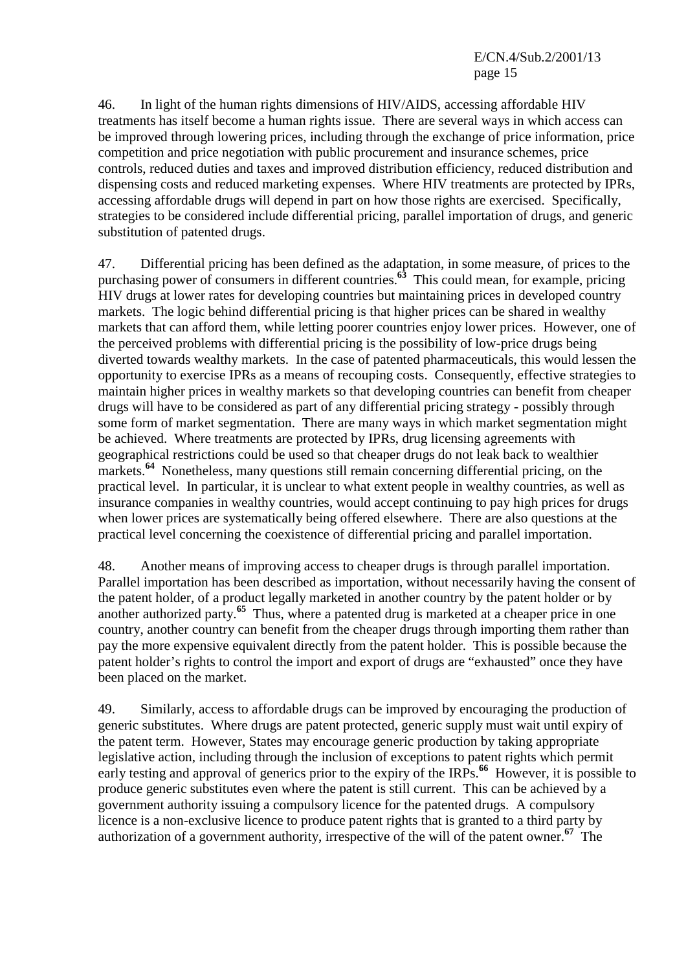E/CN.4/Sub.2/2001/13 page 15

46. In light of the human rights dimensions of HIV/AIDS, accessing affordable HIV treatments has itself become a human rights issue. There are several ways in which access can be improved through lowering prices, including through the exchange of price information, price competition and price negotiation with public procurement and insurance schemes, price controls, reduced duties and taxes and improved distribution efficiency, reduced distribution and dispensing costs and reduced marketing expenses. Where HIV treatments are protected by IPRs, accessing affordable drugs will depend in part on how those rights are exercised. Specifically, strategies to be considered include differential pricing, parallel importation of drugs, and generic substitution of patented drugs.

47. Differential pricing has been defined as the adaptation, in some measure, of prices to the purchasing power of consumers in different countries.**<sup>63</sup>** This could mean, for example, pricing HIV drugs at lower rates for developing countries but maintaining prices in developed country markets. The logic behind differential pricing is that higher prices can be shared in wealthy markets that can afford them, while letting poorer countries enjoy lower prices. However, one of the perceived problems with differential pricing is the possibility of low-price drugs being diverted towards wealthy markets. In the case of patented pharmaceuticals, this would lessen the opportunity to exercise IPRs as a means of recouping costs. Consequently, effective strategies to maintain higher prices in wealthy markets so that developing countries can benefit from cheaper drugs will have to be considered as part of any differential pricing strategy - possibly through some form of market segmentation. There are many ways in which market segmentation might be achieved. Where treatments are protected by IPRs, drug licensing agreements with geographical restrictions could be used so that cheaper drugs do not leak back to wealthier markets.<sup>64</sup> Nonetheless, many questions still remain concerning differential pricing, on the practical level. In particular, it is unclear to what extent people in wealthy countries, as well as insurance companies in wealthy countries, would accept continuing to pay high prices for drugs when lower prices are systematically being offered elsewhere. There are also questions at the practical level concerning the coexistence of differential pricing and parallel importation.

48. Another means of improving access to cheaper drugs is through parallel importation. Parallel importation has been described as importation, without necessarily having the consent of the patent holder, of a product legally marketed in another country by the patent holder or by another authorized party.**<sup>65</sup>** Thus, where a patented drug is marketed at a cheaper price in one country, another country can benefit from the cheaper drugs through importing them rather than pay the more expensive equivalent directly from the patent holder. This is possible because the patent holder's rights to control the import and export of drugs are "exhausted" once they have been placed on the market.

49. Similarly, access to affordable drugs can be improved by encouraging the production of generic substitutes. Where drugs are patent protected, generic supply must wait until expiry of the patent term. However, States may encourage generic production by taking appropriate legislative action, including through the inclusion of exceptions to patent rights which permit early testing and approval of generics prior to the expiry of the IRPs.<sup>66</sup> However, it is possible to produce generic substitutes even where the patent is still current. This can be achieved by a government authority issuing a compulsory licence for the patented drugs. A compulsory licence is a non-exclusive licence to produce patent rights that is granted to a third party by authorization of a government authority, irrespective of the will of the patent owner.**<sup>67</sup>** The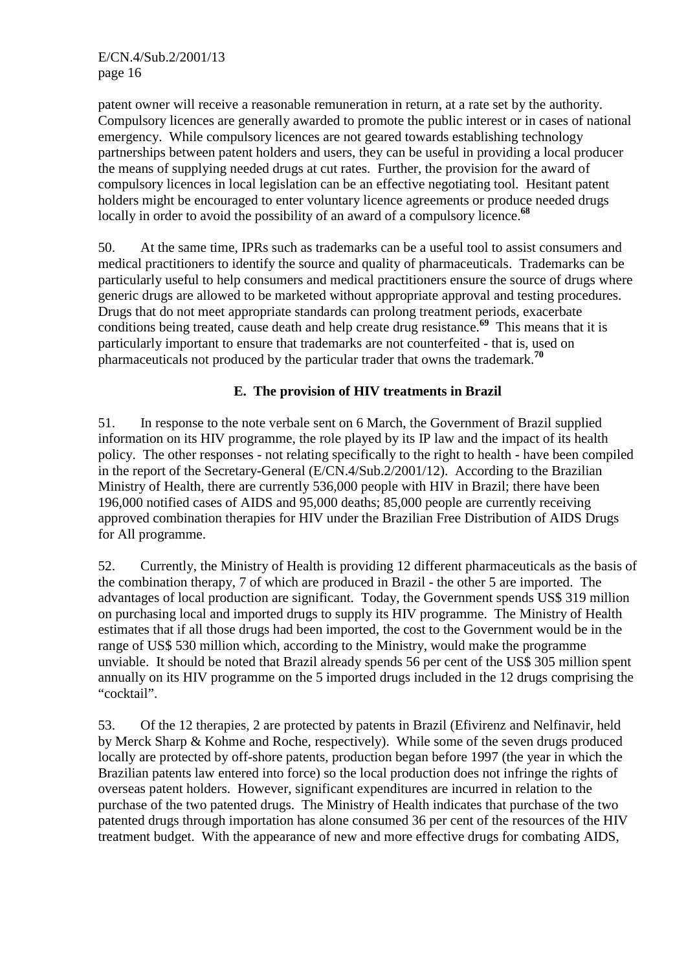patent owner will receive a reasonable remuneration in return, at a rate set by the authority. Compulsory licences are generally awarded to promote the public interest or in cases of national emergency. While compulsory licences are not geared towards establishing technology partnerships between patent holders and users, they can be useful in providing a local producer the means of supplying needed drugs at cut rates. Further, the provision for the award of compulsory licences in local legislation can be an effective negotiating tool. Hesitant patent holders might be encouraged to enter voluntary licence agreements or produce needed drugs locally in order to avoid the possibility of an award of a compulsory licence.<sup>68</sup>

50. At the same time, IPRs such as trademarks can be a useful tool to assist consumers and medical practitioners to identify the source and quality of pharmaceuticals. Trademarks can be particularly useful to help consumers and medical practitioners ensure the source of drugs where generic drugs are allowed to be marketed without appropriate approval and testing procedures. Drugs that do not meet appropriate standards can prolong treatment periods, exacerbate conditions being treated, cause death and help create drug resistance.<sup>69</sup> This means that it is particularly important to ensure that trademarks are not counterfeited - that is, used on pharmaceuticals not produced by the particular trader that owns the trademark.**<sup>70</sup>**

# **E. The provision of HIV treatments in Brazil**

51. In response to the note verbale sent on 6 March, the Government of Brazil supplied information on its HIV programme, the role played by its IP law and the impact of its health policy. The other responses - not relating specifically to the right to health - have been compiled in the report of the Secretary-General (E/CN.4/Sub.2/2001/12). According to the Brazilian Ministry of Health, there are currently 536,000 people with HIV in Brazil; there have been 196,000 notified cases of AIDS and 95,000 deaths; 85,000 people are currently receiving approved combination therapies for HIV under the Brazilian Free Distribution of AIDS Drugs for All programme.

52. Currently, the Ministry of Health is providing 12 different pharmaceuticals as the basis of the combination therapy, 7 of which are produced in Brazil - the other 5 are imported. The advantages of local production are significant. Today, the Government spends US\$ 319 million on purchasing local and imported drugs to supply its HIV programme. The Ministry of Health estimates that if all those drugs had been imported, the cost to the Government would be in the range of US\$ 530 million which, according to the Ministry, would make the programme unviable. It should be noted that Brazil already spends 56 per cent of the US\$ 305 million spent annually on its HIV programme on the 5 imported drugs included in the 12 drugs comprising the "cocktail".

53. Of the 12 therapies, 2 are protected by patents in Brazil (Efivirenz and Nelfinavir, held by Merck Sharp & Kohme and Roche, respectively). While some of the seven drugs produced locally are protected by off-shore patents, production began before 1997 (the year in which the Brazilian patents law entered into force) so the local production does not infringe the rights of overseas patent holders. However, significant expenditures are incurred in relation to the purchase of the two patented drugs. The Ministry of Health indicates that purchase of the two patented drugs through importation has alone consumed 36 per cent of the resources of the HIV treatment budget. With the appearance of new and more effective drugs for combating AIDS,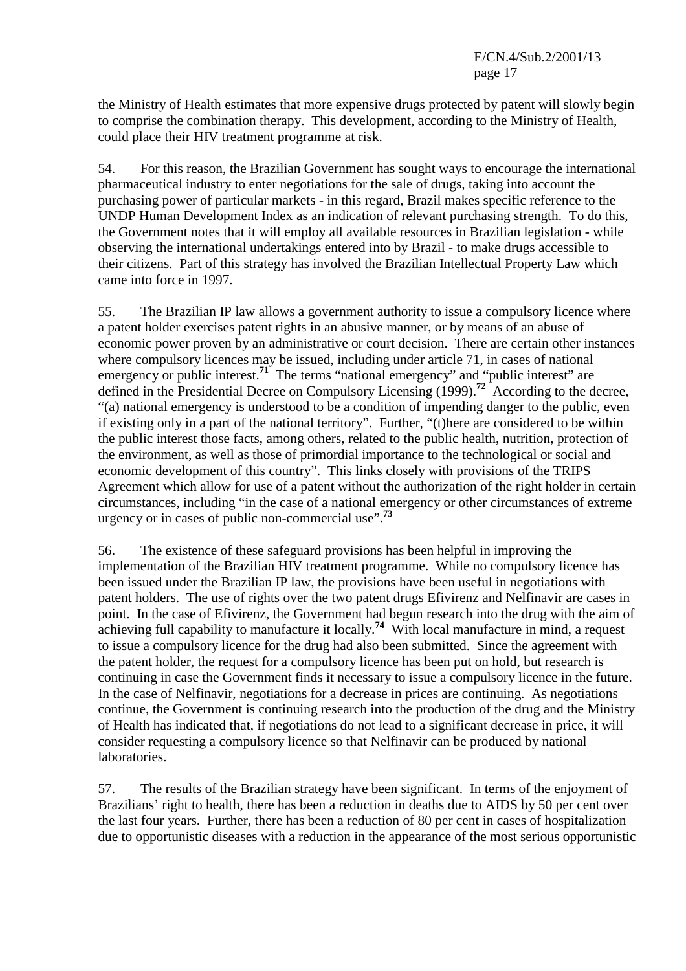the Ministry of Health estimates that more expensive drugs protected by patent will slowly begin to comprise the combination therapy. This development, according to the Ministry of Health, could place their HIV treatment programme at risk.

54. For this reason, the Brazilian Government has sought ways to encourage the international pharmaceutical industry to enter negotiations for the sale of drugs, taking into account the purchasing power of particular markets - in this regard, Brazil makes specific reference to the UNDP Human Development Index as an indication of relevant purchasing strength. To do this, the Government notes that it will employ all available resources in Brazilian legislation - while observing the international undertakings entered into by Brazil - to make drugs accessible to their citizens. Part of this strategy has involved the Brazilian Intellectual Property Law which came into force in 1997.

55. The Brazilian IP law allows a government authority to issue a compulsory licence where a patent holder exercises patent rights in an abusive manner, or by means of an abuse of economic power proven by an administrative or court decision. There are certain other instances where compulsory licences may be issued, including under article 71, in cases of national emergency or public interest.<sup>71</sup> The terms "national emergency" and "public interest" are defined in the Presidential Decree on Compulsory Licensing (1999).<sup>72</sup> According to the decree, "(a) national emergency is understood to be a condition of impending danger to the public, even if existing only in a part of the national territory". Further, "(t)here are considered to be within the public interest those facts, among others, related to the public health, nutrition, protection of the environment, as well as those of primordial importance to the technological or social and economic development of this country". This links closely with provisions of the TRIPS Agreement which allow for use of a patent without the authorization of the right holder in certain circumstances, including "in the case of a national emergency or other circumstances of extreme urgency or in cases of public non-commercial use".**<sup>73</sup>**

56. The existence of these safeguard provisions has been helpful in improving the implementation of the Brazilian HIV treatment programme. While no compulsory licence has been issued under the Brazilian IP law, the provisions have been useful in negotiations with patent holders. The use of rights over the two patent drugs Efivirenz and Nelfinavir are cases in point. In the case of Efivirenz, the Government had begun research into the drug with the aim of achieving full capability to manufacture it locally.<sup>74</sup> With local manufacture in mind, a request to issue a compulsory licence for the drug had also been submitted. Since the agreement with the patent holder, the request for a compulsory licence has been put on hold, but research is continuing in case the Government finds it necessary to issue a compulsory licence in the future. In the case of Nelfinavir, negotiations for a decrease in prices are continuing. As negotiations continue, the Government is continuing research into the production of the drug and the Ministry of Health has indicated that, if negotiations do not lead to a significant decrease in price, it will consider requesting a compulsory licence so that Nelfinavir can be produced by national laboratories.

57. The results of the Brazilian strategy have been significant. In terms of the enjoyment of Brazilians' right to health, there has been a reduction in deaths due to AIDS by 50 per cent over the last four years. Further, there has been a reduction of 80 per cent in cases of hospitalization due to opportunistic diseases with a reduction in the appearance of the most serious opportunistic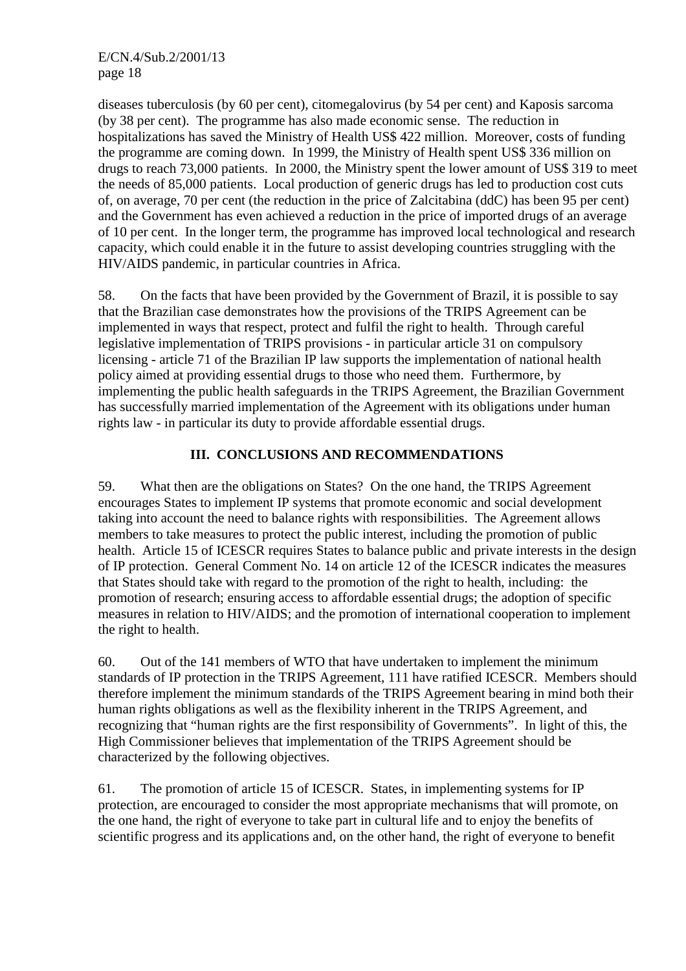diseases tuberculosis (by 60 per cent), citomegalovirus (by 54 per cent) and Kaposis sarcoma (by 38 per cent). The programme has also made economic sense. The reduction in hospitalizations has saved the Ministry of Health US\$ 422 million. Moreover, costs of funding the programme are coming down. In 1999, the Ministry of Health spent US\$ 336 million on drugs to reach 73,000 patients. In 2000, the Ministry spent the lower amount of US\$ 319 to meet the needs of 85,000 patients. Local production of generic drugs has led to production cost cuts of, on average, 70 per cent (the reduction in the price of Zalcitabina (ddC) has been 95 per cent) and the Government has even achieved a reduction in the price of imported drugs of an average of 10 per cent. In the longer term, the programme has improved local technological and research capacity, which could enable it in the future to assist developing countries struggling with the HIV/AIDS pandemic, in particular countries in Africa.

58. On the facts that have been provided by the Government of Brazil, it is possible to say that the Brazilian case demonstrates how the provisions of the TRIPS Agreement can be implemented in ways that respect, protect and fulfil the right to health. Through careful legislative implementation of TRIPS provisions - in particular article 31 on compulsory licensing - article 71 of the Brazilian IP law supports the implementation of national health policy aimed at providing essential drugs to those who need them. Furthermore, by implementing the public health safeguards in the TRIPS Agreement, the Brazilian Government has successfully married implementation of the Agreement with its obligations under human rights law - in particular its duty to provide affordable essential drugs.

# **III. CONCLUSIONS AND RECOMMENDATIONS**

59. What then are the obligations on States? On the one hand, the TRIPS Agreement encourages States to implement IP systems that promote economic and social development taking into account the need to balance rights with responsibilities. The Agreement allows members to take measures to protect the public interest, including the promotion of public health. Article 15 of ICESCR requires States to balance public and private interests in the design of IP protection. General Comment No. 14 on article 12 of the ICESCR indicates the measures that States should take with regard to the promotion of the right to health, including: the promotion of research; ensuring access to affordable essential drugs; the adoption of specific measures in relation to HIV/AIDS; and the promotion of international cooperation to implement the right to health.

60. Out of the 141 members of WTO that have undertaken to implement the minimum standards of IP protection in the TRIPS Agreement, 111 have ratified ICESCR. Members should therefore implement the minimum standards of the TRIPS Agreement bearing in mind both their human rights obligations as well as the flexibility inherent in the TRIPS Agreement, and recognizing that "human rights are the first responsibility of Governments". In light of this, the High Commissioner believes that implementation of the TRIPS Agreement should be characterized by the following objectives.

61. The promotion of article 15 of ICESCR. States, in implementing systems for IP protection, are encouraged to consider the most appropriate mechanisms that will promote, on the one hand, the right of everyone to take part in cultural life and to enjoy the benefits of scientific progress and its applications and, on the other hand, the right of everyone to benefit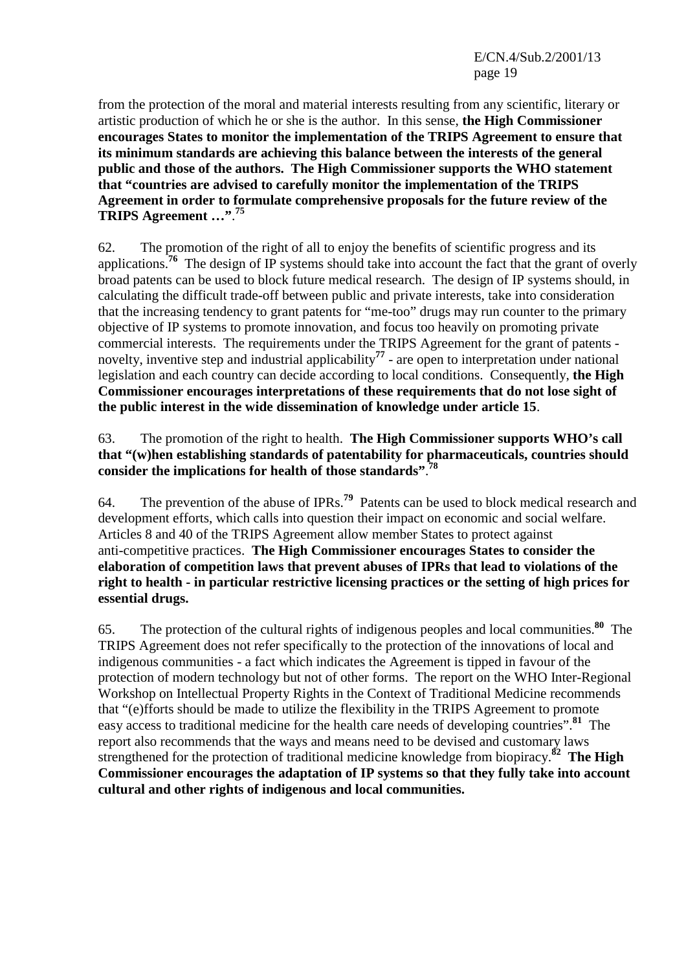E/CN.4/Sub.2/2001/13 page 19

from the protection of the moral and material interests resulting from any scientific, literary or artistic production of which he or she is the author. In this sense, **the High Commissioner encourages States to monitor the implementation of the TRIPS Agreement to ensure that its minimum standards are achieving this balance between the interests of the general public and those of the authors. The High Commissioner supports the WHO statement that "countries are advised to carefully monitor the implementation of the TRIPS Agreement in order to formulate comprehensive proposals for the future review of the TRIPS Agreement …"**. **75**

62. The promotion of the right of all to enjoy the benefits of scientific progress and its applications.**<sup>76</sup>** The design of IP systems should take into account the fact that the grant of overly broad patents can be used to block future medical research. The design of IP systems should, in calculating the difficult trade-off between public and private interests, take into consideration that the increasing tendency to grant patents for "me-too" drugs may run counter to the primary objective of IP systems to promote innovation, and focus too heavily on promoting private commercial interests. The requirements under the TRIPS Agreement for the grant of patents novelty, inventive step and industrial applicability**<sup>77</sup>** - are open to interpretation under national legislation and each country can decide according to local conditions. Consequently, **the High Commissioner encourages interpretations of these requirements that do not lose sight of the public interest in the wide dissemination of knowledge under article 15**.

63. The promotion of the right to health. **The High Commissioner supports WHO's call that "(w)hen establishing standards of patentability for pharmaceuticals, countries should consider the implications for health of those standards"**. **78**

64. The prevention of the abuse of IPRs.**<sup>79</sup>** Patents can be used to block medical research and development efforts, which calls into question their impact on economic and social welfare. Articles 8 and 40 of the TRIPS Agreement allow member States to protect against anti-competitive practices. **The High Commissioner encourages States to consider the elaboration of competition laws that prevent abuses of IPRs that lead to violations of the right to health - in particular restrictive licensing practices or the setting of high prices for essential drugs.**

65. The protection of the cultural rights of indigenous peoples and local communities.**<sup>80</sup>** The TRIPS Agreement does not refer specifically to the protection of the innovations of local and indigenous communities - a fact which indicates the Agreement is tipped in favour of the protection of modern technology but not of other forms. The report on the WHO Inter-Regional Workshop on Intellectual Property Rights in the Context of Traditional Medicine recommends that "(e)fforts should be made to utilize the flexibility in the TRIPS Agreement to promote easy access to traditional medicine for the health care needs of developing countries".**<sup>81</sup>** The report also recommends that the ways and means need to be devised and customary laws strengthened for the protection of traditional medicine knowledge from biopiracy.**<sup>82</sup> The High Commissioner encourages the adaptation of IP systems so that they fully take into account cultural and other rights of indigenous and local communities.**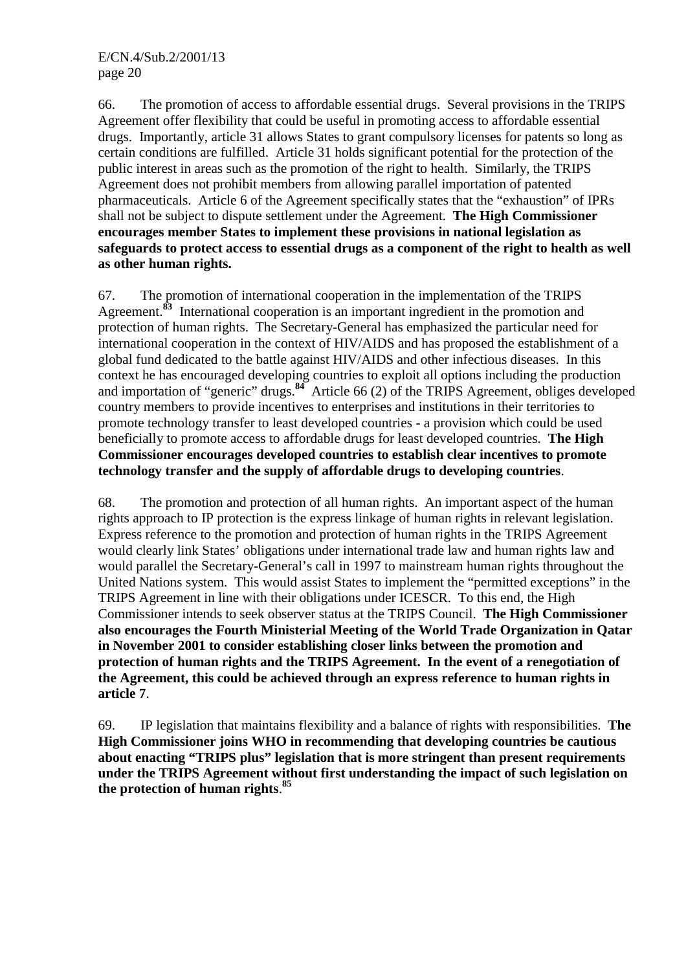66. The promotion of access to affordable essential drugs. Several provisions in the TRIPS Agreement offer flexibility that could be useful in promoting access to affordable essential drugs. Importantly, article 31 allows States to grant compulsory licenses for patents so long as certain conditions are fulfilled. Article 31 holds significant potential for the protection of the public interest in areas such as the promotion of the right to health. Similarly, the TRIPS Agreement does not prohibit members from allowing parallel importation of patented pharmaceuticals. Article 6 of the Agreement specifically states that the "exhaustion" of IPRs shall not be subject to dispute settlement under the Agreement. **The High Commissioner encourages member States to implement these provisions in national legislation as safeguards to protect access to essential drugs as a component of the right to health as well as other human rights.**

67. The promotion of international cooperation in the implementation of the TRIPS Agreement.**<sup>83</sup>** International cooperation is an important ingredient in the promotion and protection of human rights. The Secretary-General has emphasized the particular need for international cooperation in the context of HIV/AIDS and has proposed the establishment of a global fund dedicated to the battle against HIV/AIDS and other infectious diseases. In this context he has encouraged developing countries to exploit all options including the production and importation of "generic" drugs.**<sup>84</sup>** Article 66 (2) of the TRIPS Agreement, obliges developed country members to provide incentives to enterprises and institutions in their territories to promote technology transfer to least developed countries - a provision which could be used beneficially to promote access to affordable drugs for least developed countries. **The High Commissioner encourages developed countries to establish clear incentives to promote technology transfer and the supply of affordable drugs to developing countries**.

68. The promotion and protection of all human rights. An important aspect of the human rights approach to IP protection is the express linkage of human rights in relevant legislation. Express reference to the promotion and protection of human rights in the TRIPS Agreement would clearly link States' obligations under international trade law and human rights law and would parallel the Secretary-General's call in 1997 to mainstream human rights throughout the United Nations system. This would assist States to implement the "permitted exceptions" in the TRIPS Agreement in line with their obligations under ICESCR. To this end, the High Commissioner intends to seek observer status at the TRIPS Council. **The High Commissioner also encourages the Fourth Ministerial Meeting of the World Trade Organization in Qatar in November 2001 to consider establishing closer links between the promotion and protection of human rights and the TRIPS Agreement. In the event of a renegotiation of the Agreement, this could be achieved through an express reference to human rights in article 7**.

69. IP legislation that maintains flexibility and a balance of rights with responsibilities. **The High Commissioner joins WHO in recommending that developing countries be cautious about enacting "TRIPS plus" legislation that is more stringent than present requirements under the TRIPS Agreement without first understanding the impact of such legislation on the protection of human rights**. **85**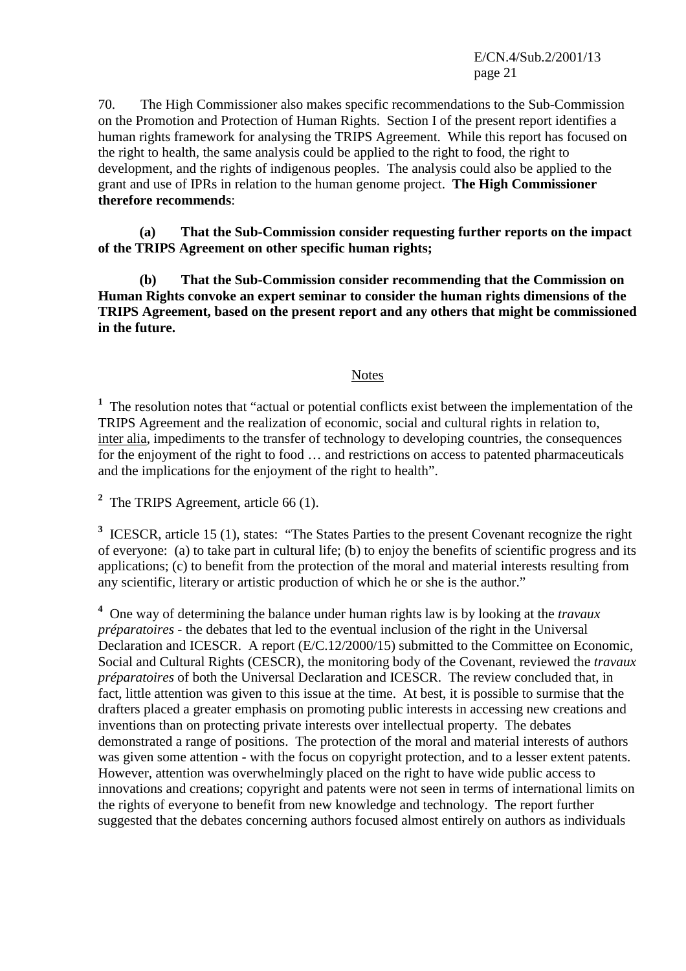E/CN.4/Sub.2/2001/13 page 21

70. The High Commissioner also makes specific recommendations to the Sub-Commission on the Promotion and Protection of Human Rights. Section I of the present report identifies a human rights framework for analysing the TRIPS Agreement. While this report has focused on the right to health, the same analysis could be applied to the right to food, the right to development, and the rights of indigenous peoples. The analysis could also be applied to the grant and use of IPRs in relation to the human genome project. **The High Commissioner therefore recommends**:

**(a) That the Sub-Commission consider requesting further reports on the impact of the TRIPS Agreement on other specific human rights;** 

 **(b) That the Sub-Commission consider recommending that the Commission on Human Rights convoke an expert seminar to consider the human rights dimensions of the TRIPS Agreement, based on the present report and any others that might be commissioned in the future.** 

#### **Notes**

<sup>1</sup> The resolution notes that "actual or potential conflicts exist between the implementation of the TRIPS Agreement and the realization of economic, social and cultural rights in relation to, inter alia, impediments to the transfer of technology to developing countries, the consequences for the enjoyment of the right to food … and restrictions on access to patented pharmaceuticals and the implications for the enjoyment of the right to health".

<sup>2</sup> The TRIPS Agreement, article 66 (1).

<sup>3</sup> ICESCR, article 15 (1), states: "The States Parties to the present Covenant recognize the right of everyone: (a) to take part in cultural life; (b) to enjoy the benefits of scientific progress and its applications; (c) to benefit from the protection of the moral and material interests resulting from any scientific, literary or artistic production of which he or she is the author."

**4** One way of determining the balance under human rights law is by looking at the *travaux préparatoires* - the debates that led to the eventual inclusion of the right in the Universal Declaration and ICESCR. A report (E/C.12/2000/15) submitted to the Committee on Economic, Social and Cultural Rights (CESCR), the monitoring body of the Covenant, reviewed the *travaux préparatoires* of both the Universal Declaration and ICESCR. The review concluded that, in fact, little attention was given to this issue at the time. At best, it is possible to surmise that the drafters placed a greater emphasis on promoting public interests in accessing new creations and inventions than on protecting private interests over intellectual property. The debates demonstrated a range of positions. The protection of the moral and material interests of authors was given some attention - with the focus on copyright protection, and to a lesser extent patents. However, attention was overwhelmingly placed on the right to have wide public access to innovations and creations; copyright and patents were not seen in terms of international limits on the rights of everyone to benefit from new knowledge and technology. The report further suggested that the debates concerning authors focused almost entirely on authors as individuals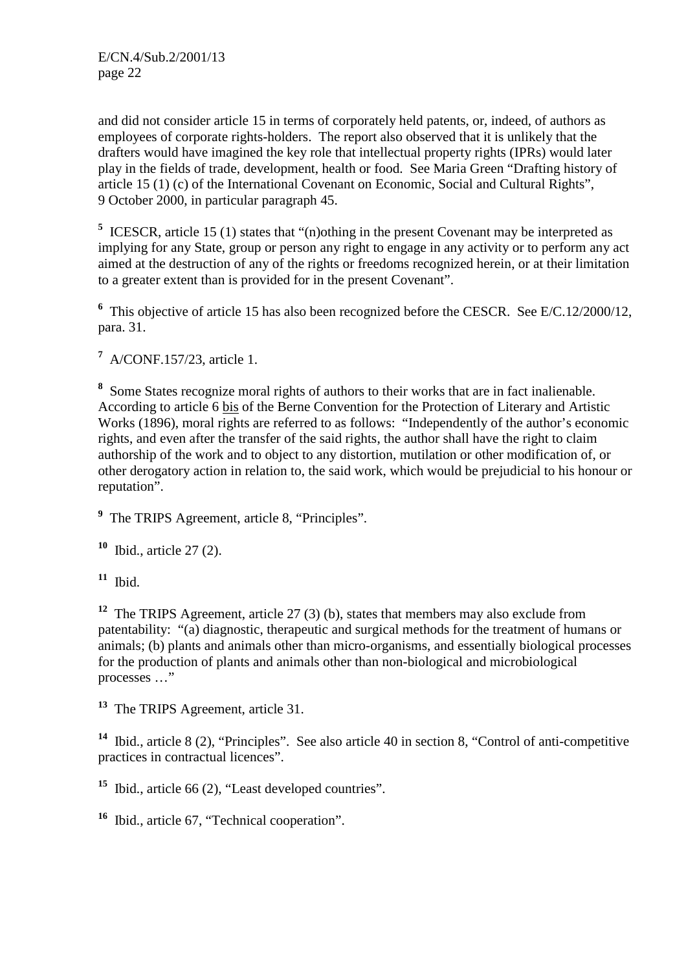and did not consider article 15 in terms of corporately held patents, or, indeed, of authors as employees of corporate rights-holders. The report also observed that it is unlikely that the drafters would have imagined the key role that intellectual property rights (IPRs) would later play in the fields of trade, development, health or food. See Maria Green "Drafting history of article 15 (1) (c) of the International Covenant on Economic, Social and Cultural Rights", 9 October 2000, in particular paragraph 45.

<sup>5</sup> ICESCR, article 15 (1) states that "(n)othing in the present Covenant may be interpreted as implying for any State, group or person any right to engage in any activity or to perform any act aimed at the destruction of any of the rights or freedoms recognized herein, or at their limitation to a greater extent than is provided for in the present Covenant".

<sup>6</sup> This objective of article 15 has also been recognized before the CESCR. See E/C.12/2000/12, para. 31.

**7** A/CONF.157/23, article 1.

**8** Some States recognize moral rights of authors to their works that are in fact inalienable. According to article 6 bis of the Berne Convention for the Protection of Literary and Artistic Works (1896), moral rights are referred to as follows: "Independently of the author's economic rights, and even after the transfer of the said rights, the author shall have the right to claim authorship of the work and to object to any distortion, mutilation or other modification of, or other derogatory action in relation to, the said work, which would be prejudicial to his honour or reputation".

<sup>9</sup> The TRIPS Agreement, article 8, "Principles".

**<sup>10</sup>** Ibid., article 27 (2).

 $11$  Ibid.

**<sup>12</sup>** The TRIPS Agreement, article 27 (3) (b), states that members may also exclude from patentability: "(a) diagnostic, therapeutic and surgical methods for the treatment of humans or animals; (b) plants and animals other than micro-organisms, and essentially biological processes for the production of plants and animals other than non-biological and microbiological processes …"

**<sup>13</sup>** The TRIPS Agreement, article 31.

**<sup>14</sup>** Ibid., article 8 (2), "Principles". See also article 40 in section 8, "Control of anti-competitive practices in contractual licences".

**<sup>15</sup>** Ibid., article 66 (2), "Least developed countries".

**<sup>16</sup>** Ibid., article 67, "Technical cooperation".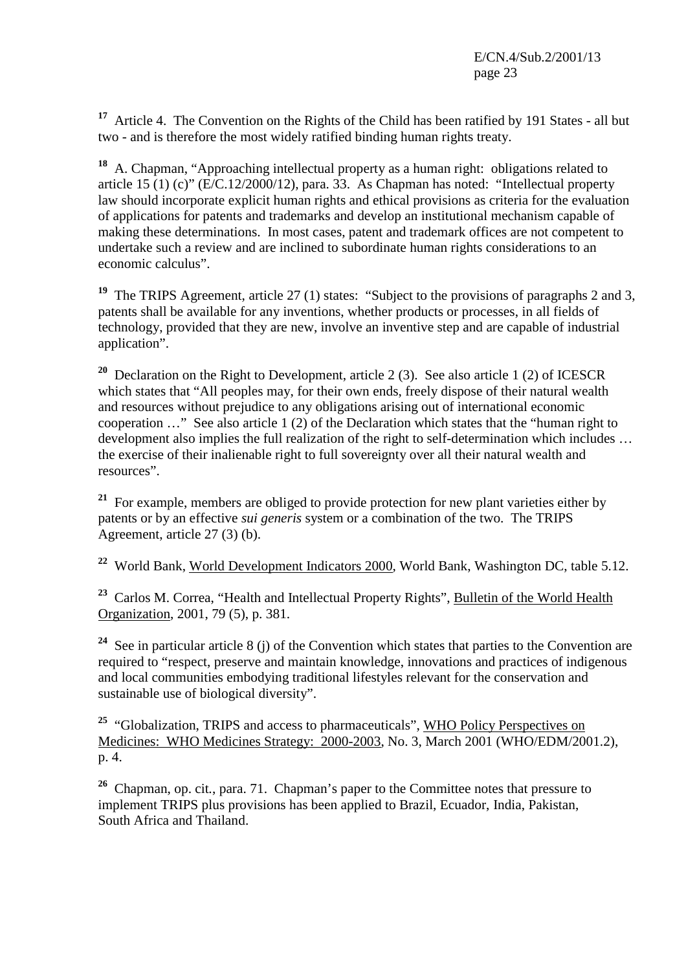**<sup>17</sup>** Article 4. The Convention on the Rights of the Child has been ratified by 191 States - all but two - and is therefore the most widely ratified binding human rights treaty.

**<sup>18</sup>** A. Chapman, "Approaching intellectual property as a human right: obligations related to article 15 (1) (c)" ( $E/C.12/2000/12$ ), para. 33. As Chapman has noted: "Intellectual property law should incorporate explicit human rights and ethical provisions as criteria for the evaluation of applications for patents and trademarks and develop an institutional mechanism capable of making these determinations. In most cases, patent and trademark offices are not competent to undertake such a review and are inclined to subordinate human rights considerations to an economic calculus".

<sup>19</sup> The TRIPS Agreement, article 27 (1) states: "Subject to the provisions of paragraphs 2 and 3, patents shall be available for any inventions, whether products or processes, in all fields of technology, provided that they are new, involve an inventive step and are capable of industrial application".

**<sup>20</sup>** Declaration on the Right to Development, article 2 (3). See also article 1 (2) of ICESCR which states that "All peoples may, for their own ends, freely dispose of their natural wealth and resources without prejudice to any obligations arising out of international economic cooperation …" See also article 1 (2) of the Declaration which states that the "human right to development also implies the full realization of the right to self-determination which includes … the exercise of their inalienable right to full sovereignty over all their natural wealth and resources".

**<sup>21</sup>** For example, members are obliged to provide protection for new plant varieties either by patents or by an effective *sui generis* system or a combination of the two. The TRIPS Agreement, article 27 (3) (b).

**<sup>22</sup>** World Bank, World Development Indicators 2000, World Bank, Washington DC, table 5.12.

**<sup>23</sup>** Carlos M. Correa, "Health and Intellectual Property Rights", Bulletin of the World Health Organization, 2001, 79 (5), p. 381.

**<sup>24</sup>** See in particular article 8 (j) of the Convention which states that parties to the Convention are required to "respect, preserve and maintain knowledge, innovations and practices of indigenous and local communities embodying traditional lifestyles relevant for the conservation and sustainable use of biological diversity".

<sup>25</sup> "Globalization, TRIPS and access to pharmaceuticals", WHO Policy Perspectives on Medicines: WHO Medicines Strategy: 2000-2003, No. 3, March 2001 (WHO/EDM/2001.2), p. 4.

**<sup>26</sup>** Chapman, op. cit*.*, para. 71. Chapman's paper to the Committee notes that pressure to implement TRIPS plus provisions has been applied to Brazil, Ecuador, India, Pakistan, South Africa and Thailand.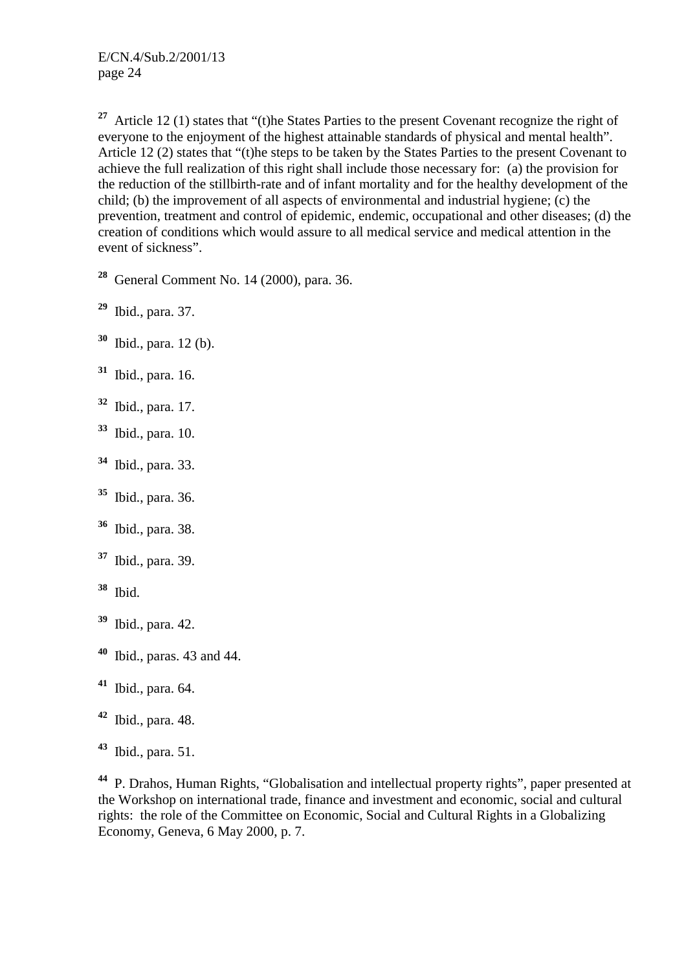<sup>27</sup> Article 12 (1) states that "(t)he States Parties to the present Covenant recognize the right of everyone to the enjoyment of the highest attainable standards of physical and mental health". Article 12 (2) states that "(t)he steps to be taken by the States Parties to the present Covenant to achieve the full realization of this right shall include those necessary for: (a) the provision for the reduction of the stillbirth-rate and of infant mortality and for the healthy development of the child; (b) the improvement of all aspects of environmental and industrial hygiene; (c) the prevention, treatment and control of epidemic, endemic, occupational and other diseases; (d) the creation of conditions which would assure to all medical service and medical attention in the event of sickness".

**<sup>28</sup>** General Comment No. 14 (2000), para. 36.

**<sup>29</sup>** Ibid., para. 37.

- **<sup>30</sup>** Ibid., para. 12 (b).
- **<sup>31</sup>** Ibid., para. 16.
- **<sup>32</sup>** Ibid., para. 17.
- **<sup>33</sup>** Ibid., para. 10.
- **<sup>34</sup>** Ibid., para. 33.
- **<sup>35</sup>** Ibid., para. 36.
- **<sup>36</sup>** Ibid., para. 38.
- **<sup>37</sup>** Ibid., para. 39.
- **<sup>38</sup>** Ibid.
- **<sup>39</sup>** Ibid., para. 42.
- **<sup>40</sup>** Ibid., paras. 43 and 44.
- **<sup>41</sup>** Ibid., para. 64.
- **<sup>42</sup>** Ibid., para. 48.
- **<sup>43</sup>** Ibid., para. 51.

**<sup>44</sup>** P. Drahos, Human Rights, "Globalisation and intellectual property rights", paper presented at the Workshop on international trade, finance and investment and economic, social and cultural rights: the role of the Committee on Economic, Social and Cultural Rights in a Globalizing Economy, Geneva, 6 May 2000, p. 7.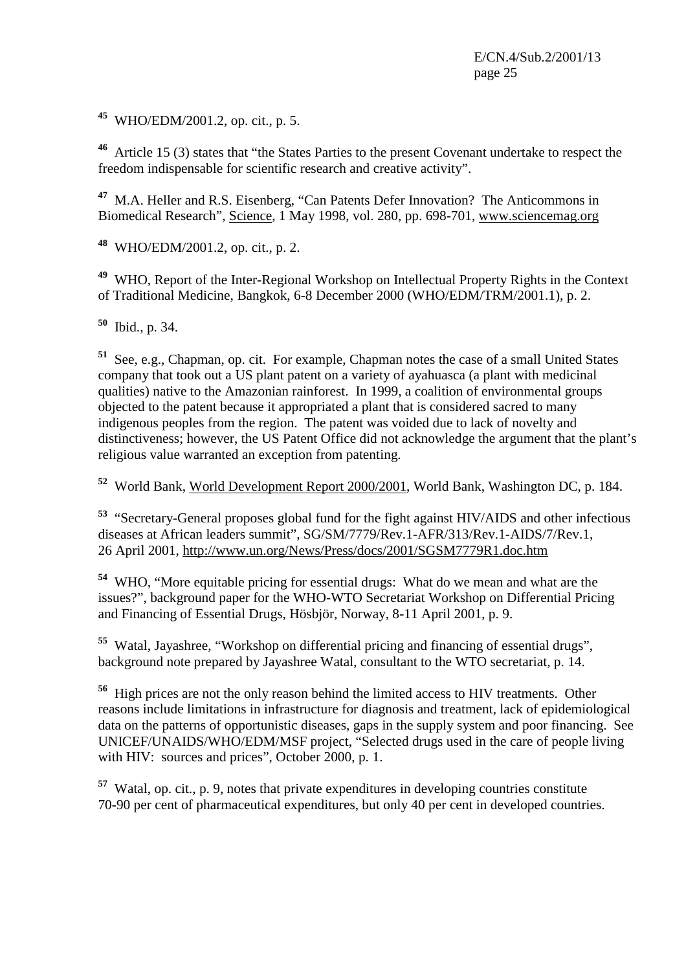**<sup>45</sup>** WHO/EDM/2001.2, op. cit., p. 5.

**<sup>46</sup>** Article 15 (3) states that "the States Parties to the present Covenant undertake to respect the freedom indispensable for scientific research and creative activity".

**<sup>47</sup>** M.A. Heller and R.S. Eisenberg, "Can Patents Defer Innovation? The Anticommons in Biomedical Research", Science, 1 May 1998, vol. 280, pp. 698-701, www.sciencemag.org

**<sup>48</sup>** WHO/EDM/2001.2, op. cit., p. 2.

**<sup>49</sup>** WHO, Report of the Inter-Regional Workshop on Intellectual Property Rights in the Context of Traditional Medicine, Bangkok, 6-8 December 2000 (WHO/EDM/TRM/2001.1), p. 2.

**<sup>50</sup>** Ibid., p. 34.

**<sup>51</sup>** See, e.g., Chapman, op. cit. For example, Chapman notes the case of a small United States company that took out a US plant patent on a variety of ayahuasca (a plant with medicinal qualities) native to the Amazonian rainforest. In 1999, a coalition of environmental groups objected to the patent because it appropriated a plant that is considered sacred to many indigenous peoples from the region. The patent was voided due to lack of novelty and distinctiveness; however, the US Patent Office did not acknowledge the argument that the plant's religious value warranted an exception from patenting.

**<sup>52</sup>** World Bank, World Development Report 2000/2001, World Bank, Washington DC, p. 184.

**<sup>53</sup>** "Secretary-General proposes global fund for the fight against HIV/AIDS and other infectious diseases at African leaders summit", SG/SM/7779/Rev.1-AFR/313/Rev.1-AIDS/7/Rev.1, 26 April 2001, http://www.un.org/News/Press/docs/2001/SGSM7779R1.doc.htm

**<sup>54</sup>** WHO, "More equitable pricing for essential drugs: What do we mean and what are the issues?", background paper for the WHO-WTO Secretariat Workshop on Differential Pricing and Financing of Essential Drugs, Hösbjör, Norway, 8-11 April 2001, p. 9.

**<sup>55</sup>** Watal, Jayashree, "Workshop on differential pricing and financing of essential drugs", background note prepared by Jayashree Watal, consultant to the WTO secretariat, p. 14.

**<sup>56</sup>** High prices are not the only reason behind the limited access to HIV treatments. Other reasons include limitations in infrastructure for diagnosis and treatment, lack of epidemiological data on the patterns of opportunistic diseases, gaps in the supply system and poor financing. See UNICEF/UNAIDS/WHO/EDM/MSF project, "Selected drugs used in the care of people living with HIV: sources and prices", October 2000, p. 1.

**<sup>57</sup>** Watal, op. cit., p. 9, notes that private expenditures in developing countries constitute 70-90 per cent of pharmaceutical expenditures, but only 40 per cent in developed countries.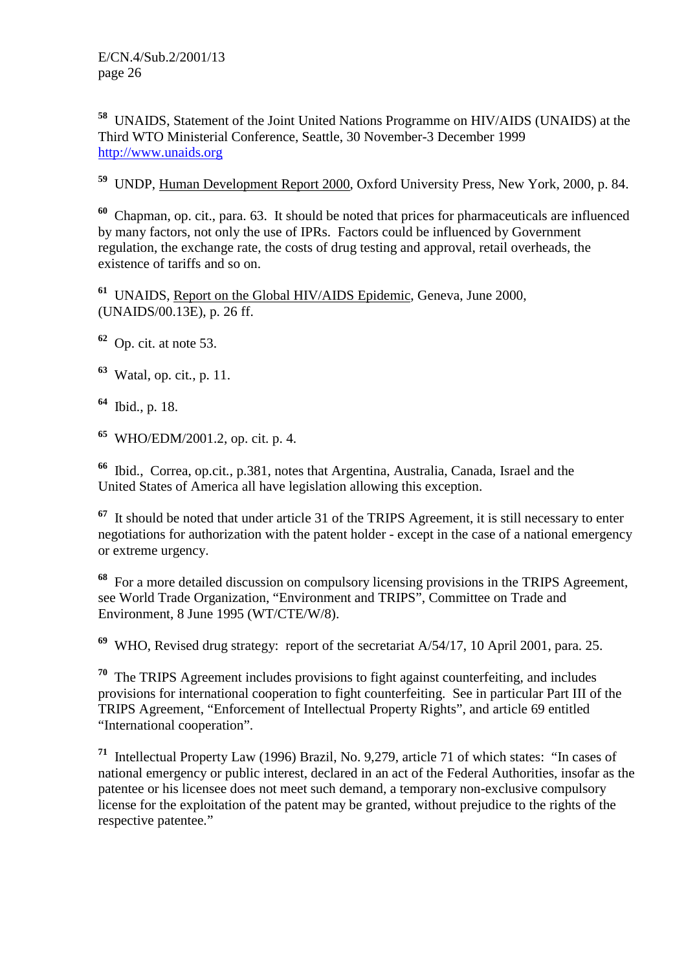**<sup>58</sup>** UNAIDS, Statement of the Joint United Nations Programme on HIV/AIDS (UNAIDS) at the Third WTO Ministerial Conference, Seattle, 30 November-3 December 1999 http://www.unaids.org

**<sup>59</sup>** UNDP, Human Development Report 2000, Oxford University Press, New York, 2000, p. 84.

**<sup>60</sup>** Chapman, op. cit., para. 63. It should be noted that prices for pharmaceuticals are influenced by many factors, not only the use of IPRs. Factors could be influenced by Government regulation, the exchange rate, the costs of drug testing and approval, retail overheads, the existence of tariffs and so on.

**<sup>61</sup>** UNAIDS, Report on the Global HIV/AIDS Epidemic, Geneva, June 2000, (UNAIDS/00.13E), p. 26 ff.

**<sup>62</sup>** Op. cit. at note 53.

**<sup>63</sup>** Watal, op. cit*.*, p. 11.

**<sup>64</sup>** Ibid., p. 18.

**<sup>65</sup>** WHO/EDM/2001.2, op. cit. p. 4.

**<sup>66</sup>** Ibid., Correa, op.cit*.*, p.381, notes that Argentina, Australia, Canada, Israel and the United States of America all have legislation allowing this exception.

**<sup>67</sup>** It should be noted that under article 31 of the TRIPS Agreement, it is still necessary to enter negotiations for authorization with the patent holder - except in the case of a national emergency or extreme urgency.

**<sup>68</sup>** For a more detailed discussion on compulsory licensing provisions in the TRIPS Agreement, see World Trade Organization, "Environment and TRIPS", Committee on Trade and Environment, 8 June 1995 (WT/CTE/W/8).

**<sup>69</sup>** WHO, Revised drug strategy: report of the secretariat A/54/17, 10 April 2001, para. 25.

**<sup>70</sup>** The TRIPS Agreement includes provisions to fight against counterfeiting, and includes provisions for international cooperation to fight counterfeiting. See in particular Part III of the TRIPS Agreement, "Enforcement of Intellectual Property Rights", and article 69 entitled "International cooperation".

**<sup>71</sup>** Intellectual Property Law (1996) Brazil, No. 9,279, article 71 of which states: "In cases of national emergency or public interest, declared in an act of the Federal Authorities, insofar as the patentee or his licensee does not meet such demand, a temporary non-exclusive compulsory license for the exploitation of the patent may be granted, without prejudice to the rights of the respective patentee."